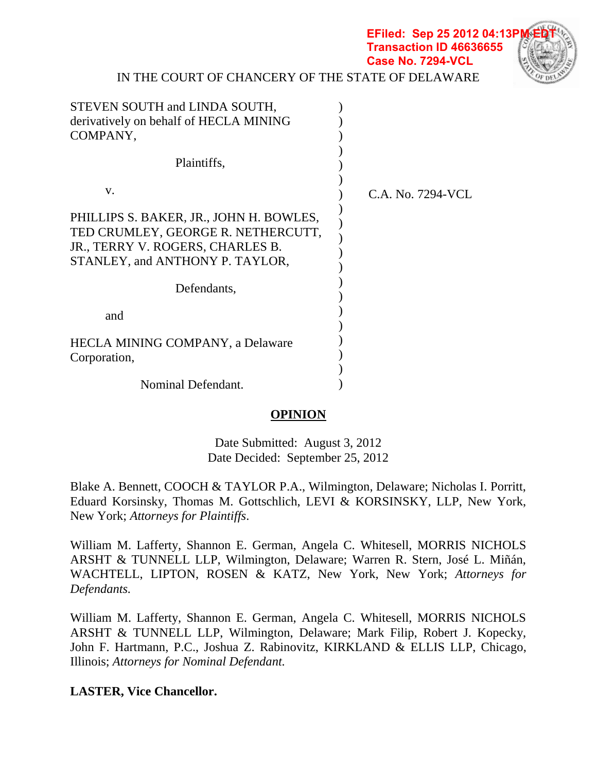**EFiled: Sep 25 2012 04:13P Transaction ID 46636655 Case No. 7294-VCL** 



IN THE COURT OF CHANCERY OF THE STATE OF DELAWARE

| STEVEN SOUTH and LINDA SOUTH,<br>derivatively on behalf of HECLA MINING<br>COMPANY,                                                                  |                   |  |
|------------------------------------------------------------------------------------------------------------------------------------------------------|-------------------|--|
| Plaintiffs,                                                                                                                                          |                   |  |
| V.                                                                                                                                                   | C.A. No. 7294-VCL |  |
| PHILLIPS S. BAKER, JR., JOHN H. BOWLES,<br>TED CRUMLEY, GEORGE R. NETHERCUTT,<br>JR., TERRY V. ROGERS, CHARLES B.<br>STANLEY, and ANTHONY P. TAYLOR, |                   |  |
| Defendants,                                                                                                                                          |                   |  |
| and                                                                                                                                                  |                   |  |
| <b>HECLA MINING COMPANY</b> , a Delaware<br>Corporation,                                                                                             |                   |  |
| Nominal Defendant.                                                                                                                                   |                   |  |

# **OPINION**

Date Submitted: August 3, 2012 Date Decided: September 25, 2012

Blake A. Bennett, COOCH & TAYLOR P.A., Wilmington, Delaware; Nicholas I. Porritt, Eduard Korsinsky, Thomas M. Gottschlich, LEVI & KORSINSKY, LLP, New York, New York; *Attorneys for Plaintiffs*.

William M. Lafferty, Shannon E. German, Angela C. Whitesell, MORRIS NICHOLS ARSHT & TUNNELL LLP, Wilmington, Delaware; Warren R. Stern, José L. Miñán, WACHTELL, LIPTON, ROSEN & KATZ, New York, New York; *Attorneys for Defendants.*

William M. Lafferty, Shannon E. German, Angela C. Whitesell, MORRIS NICHOLS ARSHT & TUNNELL LLP, Wilmington, Delaware; Mark Filip, Robert J. Kopecky, John F. Hartmann, P.C., Joshua Z. Rabinovitz, KIRKLAND & ELLIS LLP, Chicago, Illinois; *Attorneys for Nominal Defendant.*

# **LASTER, Vice Chancellor.**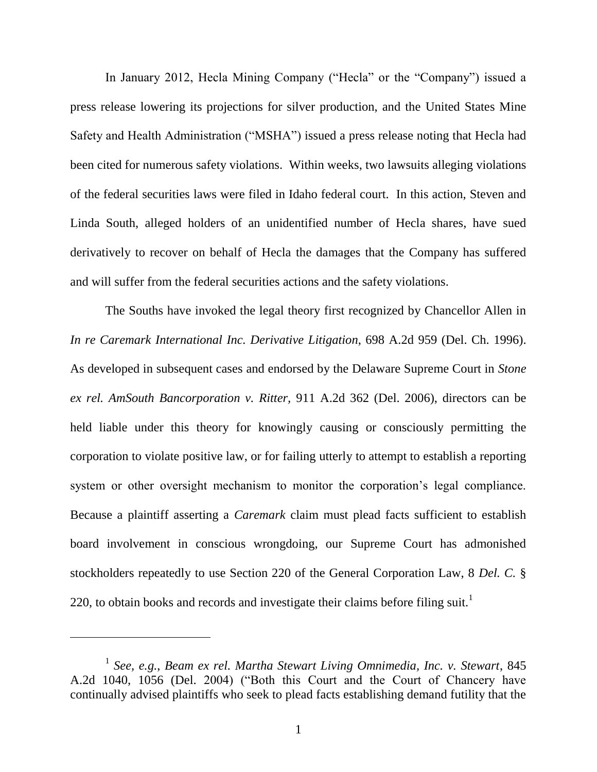In January 2012, Hecla Mining Company ("Hecla" or the "Company") issued a press release lowering its projections for silver production, and the United States Mine Safety and Health Administration ("MSHA") issued a press release noting that Hecla had been cited for numerous safety violations. Within weeks, two lawsuits alleging violations of the federal securities laws were filed in Idaho federal court. In this action, Steven and Linda South, alleged holders of an unidentified number of Hecla shares, have sued derivatively to recover on behalf of Hecla the damages that the Company has suffered and will suffer from the federal securities actions and the safety violations.

The Souths have invoked the legal theory first recognized by Chancellor Allen in In re Caremark International Inc. Derivative Litigation, 698 A.2d 959 (Del. Ch. 1996). As developed in subsequent cases and endorsed by the Delaware Supreme Court in Stone ex rel. AmSouth Bancorporation v. Ritter, 911 A.2d 362 (Del. 2006), directors can be held liable under this theory for knowingly causing or consciously permitting the corporation to violate positive law, or for failing utterly to attempt to establish a reporting system or other oversight mechanism to monitor the corporation's legal compliance. Because a plaintiff asserting a *Caremark* claim must plead facts sufficient to establish board involvement in conscious wrongdoing, our Supreme Court has admonished stockholders repeatedly to use Section 220 of the General Corporation Law, 8 Del. C. § 220, to obtain books and records and investigate their claims before filing suit.<sup>1</sup>

<sup>&</sup>lt;sup>1</sup> See, e.g., Beam ex rel. Martha Stewart Living Omnimedia, Inc. v. Stewart, 845 A.2d 1040, 1056 (Del. 2004) ("Both this Court and the Court of Chancery have continually advised plaintiffs who seek to plead facts establishing demand futility that the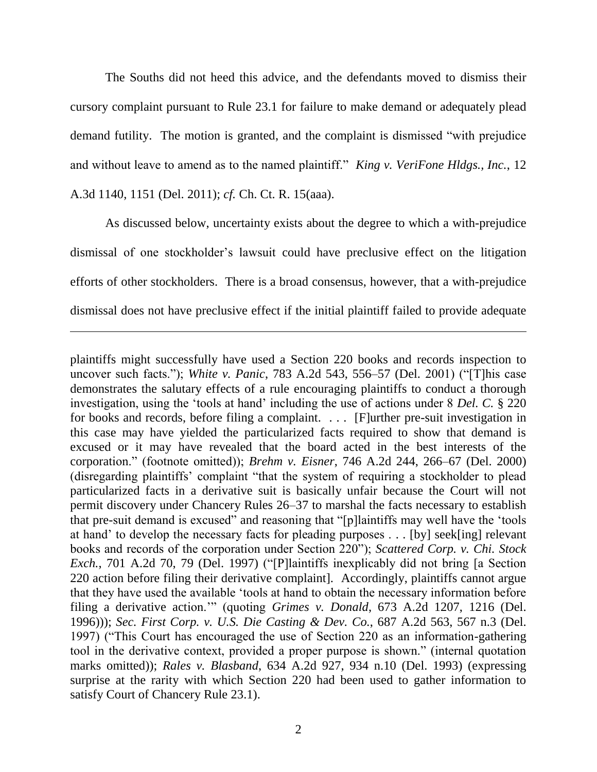The Souths did not heed this advice, and the defendants moved to dismiss their cursory complaint pursuant to Rule 23.1 for failure to make demand or adequately plead demand futility. The motion is granted, and the complaint is dismissed "with prejudice" and without leave to amend as to the named plaintiff." King v. VeriFone Hldgs., Inc., 12 A.3d 1140, 1151 (Del. 2011); cf. Ch. Ct. R. 15(aaa).

As discussed below, uncertainty exists about the degree to which a with-prejudice dismissal of one stockholder's lawsuit could have preclusive effect on the litigation efforts of other stockholders. There is a broad consensus, however, that a with-prejudice dismissal does not have preclusive effect if the initial plaintiff failed to provide adequate

plaintiffs might successfully have used a Section 220 books and records inspection to uncover such facts."); White v. Panic, 783 A.2d 543, 556–57 (Del. 2001) ("[T]his case demonstrates the salutary effects of a rule encouraging plaintiffs to conduct a thorough investigation, using the 'tools at hand' including the use of actions under 8 Del. C. § 220 for books and records, before filing a complaint. ... [F]urther pre-suit investigation in this case may have yielded the particularized facts required to show that demand is excused or it may have revealed that the board acted in the best interests of the corporation." (footnote omitted)); *Brehm v. Eisner*, 746 A.2d 244, 266–67 (Del. 2000) (disregarding plaintiffs' complaint "that the system of requiring a stockholder to plead particularized facts in a derivative suit is basically unfair because the Court will not permit discovery under Chancery Rules 26–37 to marshal the facts necessary to establish that pre-suit demand is excused" and reasoning that "[p] laintiffs may well have the 'tools at hand' to develop the necessary facts for pleading purposes . . . [by] seek[ing] relevant books and records of the corporation under Section 220"); Scattered Corp. v. Chi. Stock *Exch.*, 701 A.2d 70, 79 (Del. 1997) ("[P] laintiffs inexplicably did not bring [a Section 220 action before filing their derivative complaint]. Accordingly, plaintiffs cannot argue that they have used the available 'tools at hand to obtain the necessary information before filing a derivative action." (quoting Grimes v. Donald, 673 A.2d 1207, 1216 (Del. 1996)); Sec. First Corp. v. U.S. Die Casting & Dev. Co., 687 A.2d 563, 567 n.3 (Del. 1997) ("This Court has encouraged the use of Section 220 as an information-gathering tool in the derivative context, provided a proper purpose is shown." (internal quotation marks omitted)); Rales v. Blasband, 634 A.2d 927, 934 n.10 (Del. 1993) (expressing surprise at the rarity with which Section 220 had been used to gather information to satisfy Court of Chancery Rule 23.1).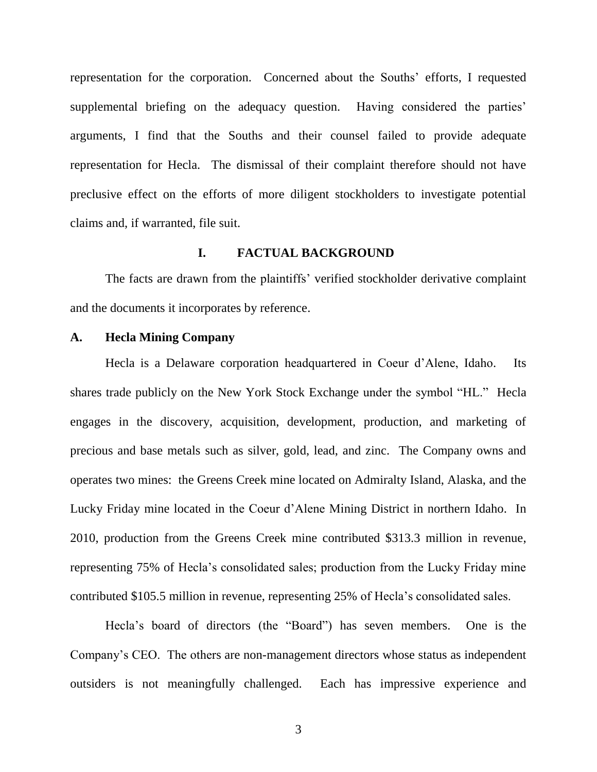representation for the corporation. Concerned about the Souths' efforts, I requested supplemental briefing on the adequacy question. Having considered the parties' arguments, I find that the Souths and their counsel failed to provide adequate representation for Hecla. The dismissal of their complaint therefore should not have preclusive effect on the efforts of more diligent stockholders to investigate potential claims and, if warranted, file suit.

## L. **FACTUAL BACKGROUND**

The facts are drawn from the plaintiffs' verified stockholder derivative complaint and the documents it incorporates by reference.

#### $\mathbf{A}$ . **Hecla Mining Company**

Hecla is a Delaware corporation headquartered in Coeur d'Alene, Idaho. **Its** shares trade publicly on the New York Stock Exchange under the symbol "HL." Hecla engages in the discovery, acquisition, development, production, and marketing of precious and base metals such as silver, gold, lead, and zinc. The Company owns and operates two mines: the Greens Creek mine located on Admiralty Island, Alaska, and the Lucky Friday mine located in the Coeur d'Alene Mining District in northern Idaho. In 2010, production from the Greens Creek mine contributed \$313.3 million in revenue, representing 75% of Hecla's consolidated sales; production from the Lucky Friday mine contributed \$105.5 million in revenue, representing 25% of Hecla's consolidated sales.

Hecla's board of directors (the "Board") has seven members. One is the Company's CEO. The others are non-management directors whose status as independent outsiders is not meaningfully challenged. Each has impressive experience and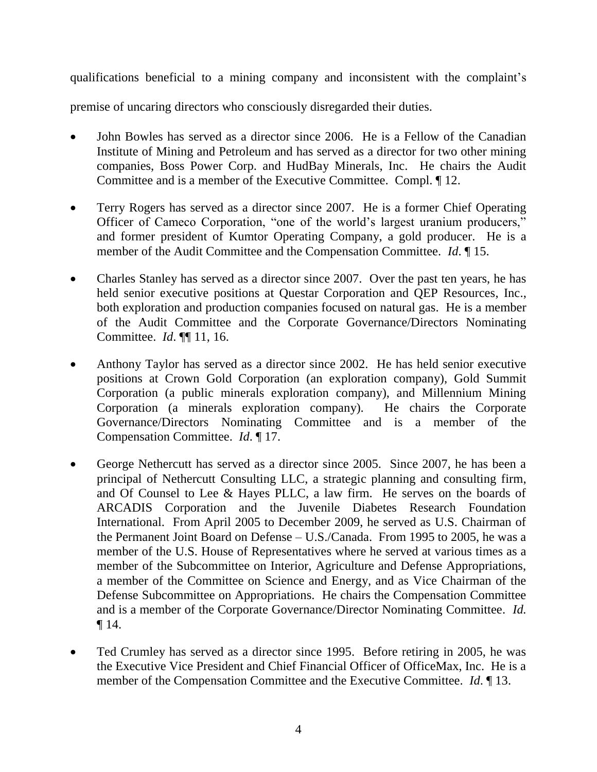qualifications beneficial to a mining company and inconsistent with the complaint's

premise of uncaring directors who consciously disregarded their duties.

- John Bowles has served as a director since 2006. He is a Fellow of the Canadian Institute of Mining and Petroleum and has served as a director for two other mining companies, Boss Power Corp. and HudBay Minerals, Inc. He chairs the Audit Committee and is a member of the Executive Committee. Compl. 12.
- Terry Rogers has served as a director since 2007. He is a former Chief Operating Officer of Cameco Corporation, "one of the world's largest uranium producers," and former president of Kumtor Operating Company, a gold producer. He is a member of the Audit Committee and the Compensation Committee. *Id.* 15.
- Charles Stanley has served as a director since 2007. Over the past ten years, he has held senior executive positions at Questar Corporation and QEP Resources, Inc., both exploration and production companies focused on natural gas. He is a member of the Audit Committee and the Corporate Governance/Directors Nominating Committee. *Id.* ¶ 11, 16.
- Anthony Taylor has served as a director since 2002. He has held senior executive  $\bullet$ positions at Crown Gold Corporation (an exploration company), Gold Summit Corporation (a public minerals exploration company), and Millennium Mining Corporation (a minerals exploration company). He chairs the Corporate Governance/Directors Nominating Committee and is a member of the Compensation Committee. *Id.* 17.
- George Nethercutt has served as a director since 2005. Since 2007, he has been a  $\bullet$ principal of Nethercutt Consulting LLC, a strategic planning and consulting firm, and Of Counsel to Lee & Hayes PLLC, a law firm. He serves on the boards of ARCADIS Corporation and the Juvenile Diabetes Research Foundation International. From April 2005 to December 2009, he served as U.S. Chairman of the Permanent Joint Board on Defense – U.S./Canada. From 1995 to 2005, he was a member of the U.S. House of Representatives where he served at various times as a member of the Subcommittee on Interior, Agriculture and Defense Appropriations, a member of the Committee on Science and Energy, and as Vice Chairman of the Defense Subcommittee on Appropriations. He chairs the Compensation Committee and is a member of the Corporate Governance/Director Nominating Committee. Id.  $\P$ 14.
- Ted Crumley has served as a director since 1995. Before retiring in 2005, he was the Executive Vice President and Chief Financial Officer of OfficeMax, Inc. He is a member of the Compensation Committee and the Executive Committee. *Id.* 13.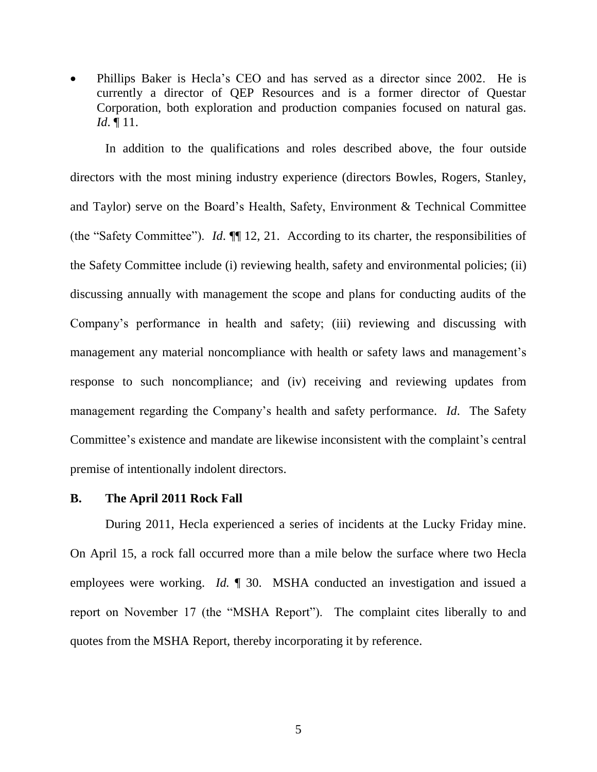Phillips Baker is Hecla's CEO and has served as a director since 2002. He is currently a director of QEP Resources and is a former director of Questar Corporation, both exploration and production companies focused on natural gas. *Id.*  $\P$  11.

In addition to the qualifications and roles described above, the four outside directors with the most mining industry experience (directors Bowles, Rogers, Stanley, and Taylor) serve on the Board's Health, Safety, Environment & Technical Committee (the "Safety Committee"). *Id.*  $\P$ [12, 21. According to its charter, the responsibilities of the Safety Committee include (i) reviewing health, safety and environmental policies; (ii) discussing annually with management the scope and plans for conducting audits of the Company's performance in health and safety; (iii) reviewing and discussing with management any material noncompliance with health or safety laws and management's response to such noncompliance; and (iv) receiving and reviewing updates from management regarding the Company's health and safety performance. Id. The Safety Committee's existence and mandate are likewise inconsistent with the complaint's central premise of intentionally indolent directors.

# **B.** The April 2011 Rock Fall

During 2011, Hecla experienced a series of incidents at the Lucky Friday mine. On April 15, a rock fall occurred more than a mile below the surface where two Hecla employees were working. *Id.*  $\parallel$  30. MSHA conducted an investigation and issued a report on November 17 (the "MSHA Report"). The complaint cites liberally to and quotes from the MSHA Report, thereby incorporating it by reference.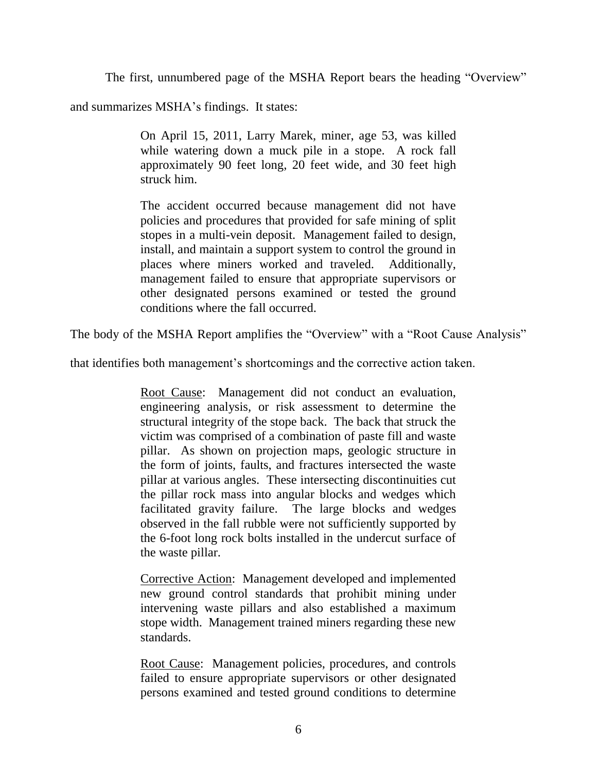The first, unnumbered page of the MSHA Report bears the heading "Overview"

and summarizes MSHA's findings. It states:

On April 15, 2011, Larry Marek, miner, age 53, was killed while watering down a muck pile in a stope. A rock fall approximately 90 feet long, 20 feet wide, and 30 feet high struck him.

The accident occurred because management did not have policies and procedures that provided for safe mining of split stopes in a multi-vein deposit. Management failed to design, install, and maintain a support system to control the ground in places where miners worked and traveled. Additionally, management failed to ensure that appropriate supervisors or other designated persons examined or tested the ground conditions where the fall occurred.

The body of the MSHA Report amplifies the "Overview" with a "Root Cause Analysis"

that identifies both management's shortcomings and the corrective action taken.

Root Cause: Management did not conduct an evaluation, engineering analysis, or risk assessment to determine the structural integrity of the stope back. The back that struck the victim was comprised of a combination of paste fill and waste pillar. As shown on projection maps, geologic structure in the form of joints, faults, and fractures intersected the waste pillar at various angles. These intersecting discontinuities cut the pillar rock mass into angular blocks and wedges which facilitated gravity failure. The large blocks and wedges observed in the fall rubble were not sufficiently supported by the 6-foot long rock bolts installed in the undercut surface of the waste pillar.

Corrective Action: Management developed and implemented new ground control standards that prohibit mining under intervening waste pillars and also established a maximum stope width. Management trained miners regarding these new standards.

Root Cause: Management policies, procedures, and controls failed to ensure appropriate supervisors or other designated persons examined and tested ground conditions to determine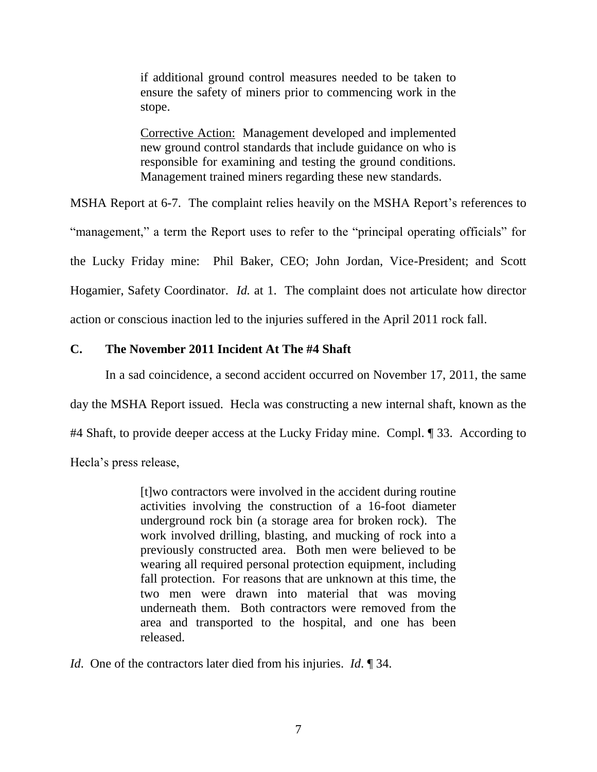if additional ground control measures needed to be taken to ensure the safety of miners prior to commencing work in the stope.

Corrective Action: Management developed and implemented new ground control standards that include guidance on who is responsible for examining and testing the ground conditions. Management trained miners regarding these new standards.

MSHA Report at 6-7. The complaint relies heavily on the MSHA Report's references to

"management," a term the Report uses to refer to the "principal operating officials" for

the Lucky Friday mine: Phil Baker, CEO; John Jordan, Vice-President; and Scott

Hogamier, Safety Coordinator. *Id.* at 1. The complaint does not articulate how director

action or conscious inaction led to the injuries suffered in the April 2011 rock fall.

## $C_{\bullet}$ The November 2011 Incident At The #4 Shaft

In a sad coincidence, a second accident occurred on November 17, 2011, the same

day the MSHA Report issued. Hecla was constructing a new internal shaft, known as the

#4 Shaft, to provide deeper access at the Lucky Friday mine. Compl. 1 33. According to

Hecla's press release,

[t] wo contractors were involved in the accident during routine activities involving the construction of a 16-foot diameter underground rock bin (a storage area for broken rock). The work involved drilling, blasting, and mucking of rock into a previously constructed area. Both men were believed to be wearing all required personal protection equipment, including fall protection. For reasons that are unknown at this time, the two men were drawn into material that was moving underneath them. Both contractors were removed from the area and transported to the hospital, and one has been released.

*Id.* One of the contractors later died from his injuries. *Id.* 134.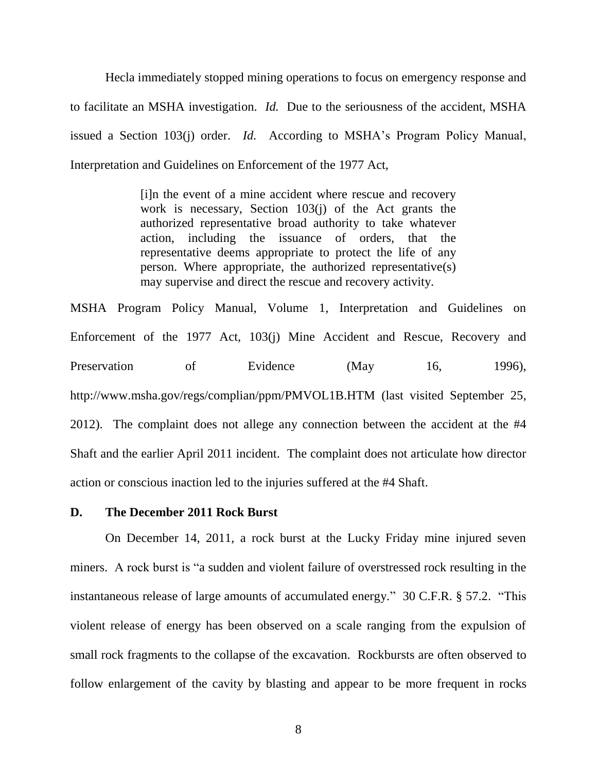Hecla immediately stopped mining operations to focus on emergency response and to facilitate an MSHA investigation. *Id.* Due to the seriousness of the accident, MSHA issued a Section 103(j) order. *Id.* According to MSHA's Program Policy Manual, Interpretation and Guidelines on Enforcement of the 1977 Act,

> [i]n the event of a mine accident where rescue and recovery work is necessary, Section  $103(i)$  of the Act grants the authorized representative broad authority to take whatever action, including the issuance of orders, that the representative deems appropriate to protect the life of any person. Where appropriate, the authorized representative(s) may supervise and direct the rescue and recovery activity.

MSHA Program Policy Manual, Volume 1, Interpretation and Guidelines on Enforcement of the 1977 Act, 103(j) Mine Accident and Rescue, Recovery and Preservation  $\alpha$ f Evidence (May 16.  $1996$ ). http://www.msha.gov/regs/complian/ppm/PMVOL1B.HTM (last visited September 25, 2012). The complaint does not allege any connection between the accident at the #4 Shaft and the earlier April 2011 incident. The complaint does not articulate how director action or conscious inaction led to the injuries suffered at the #4 Shaft.

#### D. The December 2011 Rock Burst

On December 14, 2011, a rock burst at the Lucky Friday mine injured seven miners. A rock burst is "a sudden and violent failure of overstressed rock resulting in the instantaneous release of large amounts of accumulated energy." 30 C.F.R. § 57.2. "This violent release of energy has been observed on a scale ranging from the expulsion of small rock fragments to the collapse of the excavation. Rockbursts are often observed to follow enlargement of the cavity by blasting and appear to be more frequent in rocks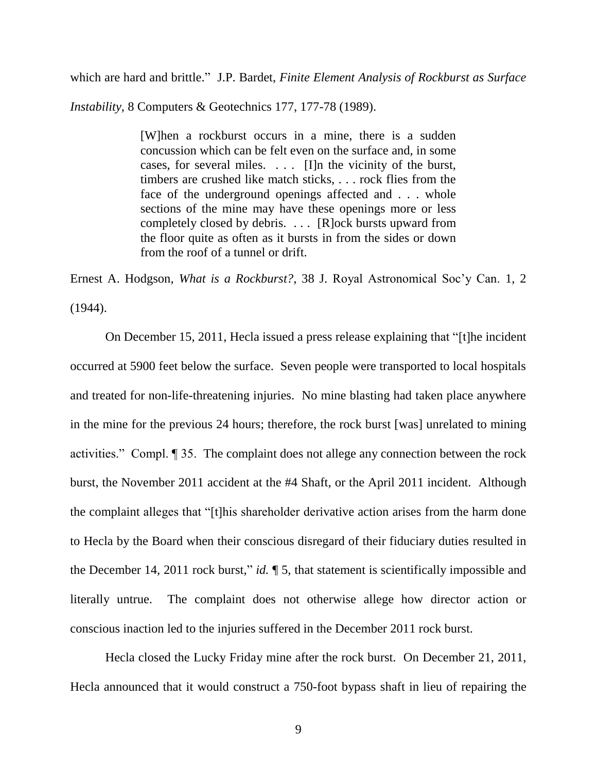which are hard and brittle." J.P. Bardet, Finite Element Analysis of Rockburst as Surface

*Instability*, 8 Computers & Geotechnics 177, 177-78 (1989).

[W]hen a rockburst occurs in a mine, there is a sudden concussion which can be felt even on the surface and, in some cases, for several miles.  $\ldots$  [I]n the vicinity of the burst, timbers are crushed like match sticks, . . . rock flies from the face of the underground openings affected and . . . whole sections of the mine may have these openings more or less completely closed by debris. . . . [R] ock bursts upward from the floor quite as often as it bursts in from the sides or down from the roof of a tunnel or drift.

Ernest A. Hodgson, What is a Rockburst?, 38 J. Royal Astronomical Soc'y Can. 1, 2  $(1944).$ 

On December 15, 2011, Hecla issued a press release explaining that "[t] he incident occurred at 5900 feet below the surface. Seven people were transported to local hospitals and treated for non-life-threatening injuries. No mine blasting had taken place anywhere in the mine for the previous 24 hours; therefore, the rock burst [was] unrelated to mining activities." Compl. 1 35. The complaint does not allege any connection between the rock burst, the November 2011 accident at the #4 Shaft, or the April 2011 incident. Although the complaint alleges that "[t] his shareholder derivative action arises from the harm done to Hecla by the Board when their conscious disregard of their fiduciary duties resulted in the December 14, 2011 rock burst," id.  $\P$  5, that statement is scientifically impossible and literally untrue. The complaint does not otherwise allege how director action or conscious inaction led to the injuries suffered in the December 2011 rock burst.

Hecla closed the Lucky Friday mine after the rock burst. On December 21, 2011, Hecla announced that it would construct a 750-foot bypass shaft in lieu of repairing the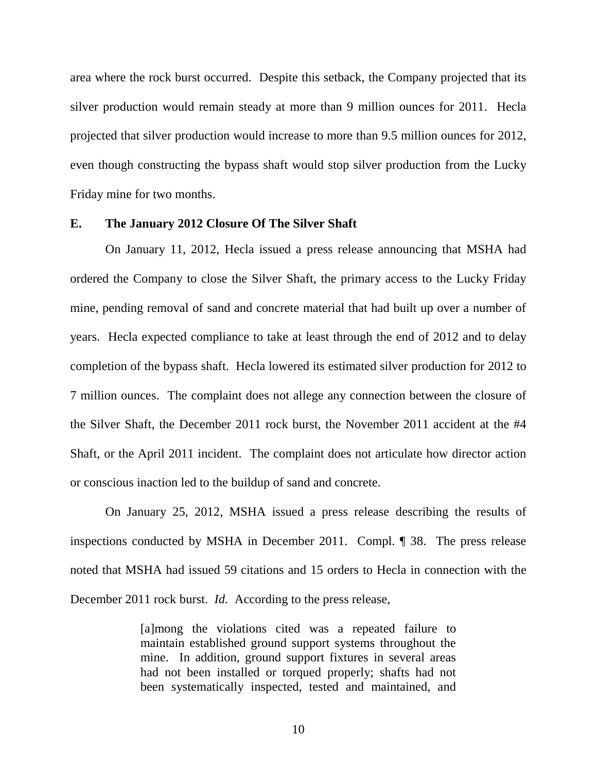area where the rock burst occurred. Despite this setback, the Company projected that its silver production would remain steady at more than 9 million ounces for 2011. Hecla projected that silver production would increase to more than 9.5 million ounces for 2012, even though constructing the bypass shaft would stop silver production from the Lucky Friday mine for two months.

# The January 2012 Closure Of The Silver Shaft E.

On January 11, 2012, Hecla issued a press release announcing that MSHA had ordered the Company to close the Silver Shaft, the primary access to the Lucky Friday mine, pending removal of sand and concrete material that had built up over a number of years. Hecla expected compliance to take at least through the end of 2012 and to delay completion of the bypass shaft. Hecla lowered its estimated silver production for 2012 to 7 million ounces. The complaint does not allege any connection between the closure of the Silver Shaft, the December 2011 rock burst, the November 2011 accident at the  $#4$ Shaft, or the April 2011 incident. The complaint does not articulate how director action or conscious inaction led to the buildup of sand and concrete.

On January 25, 2012, MSHA issued a press release describing the results of inspections conducted by MSHA in December 2011. Compl. ¶ 38. The press release noted that MSHA had issued 59 citations and 15 orders to Hecla in connection with the December 2011 rock burst. *Id.* According to the press release,

> almong the violations cited was a repeated failure to maintain established ground support systems throughout the mine. In addition, ground support fixtures in several areas had not been installed or torqued properly; shafts had not been systematically inspected, tested and maintained, and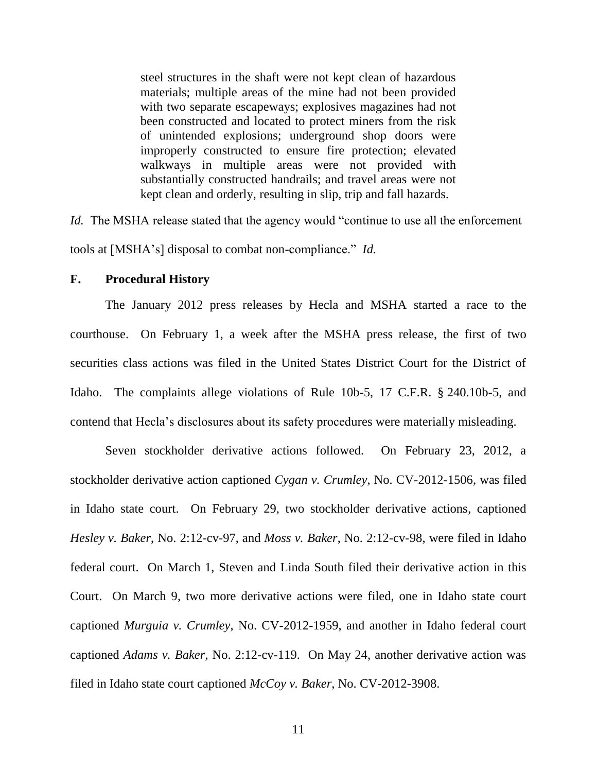steel structures in the shaft were not kept clean of hazardous materials; multiple areas of the mine had not been provided with two separate escapeways; explosives magazines had not been constructed and located to protect miners from the risk of unintended explosions; underground shop doors were improperly constructed to ensure fire protection; elevated walkways in multiple areas were not provided with substantially constructed handrails; and travel areas were not kept clean and orderly, resulting in slip, trip and fall hazards.

*Id.* The MSHA release stated that the agency would "continue to use all the enforcement" tools at [MSHA's] disposal to combat non-compliance." Id.

#### $\mathbf{F}$ . **Procedural History**

The January 2012 press releases by Hecla and MSHA started a race to the courthouse. On February 1, a week after the MSHA press release, the first of two securities class actions was filed in the United States District Court for the District of Idaho. The complaints allege violations of Rule 10b-5, 17 C.F.R. § 240.10b-5, and contend that Hecla's disclosures about its safety procedures were materially misleading.

Seven stockholder derivative actions followed. On February 23, 2012, a stockholder derivative action captioned Cygan v. Crumley, No. CV-2012-1506, was filed in Idaho state court. On February 29, two stockholder derivative actions, captioned Hesley v. Baker, No. 2:12-cv-97, and Moss v. Baker, No. 2:12-cv-98, were filed in Idaho federal court. On March 1, Steven and Linda South filed their derivative action in this Court. On March 9, two more derivative actions were filed, one in Idaho state court captioned Murguia v. Crumley, No. CV-2012-1959, and another in Idaho federal court captioned Adams v. Baker, No. 2:12-cv-119. On May 24, another derivative action was filed in Idaho state court captioned McCoy v. Baker, No. CV-2012-3908.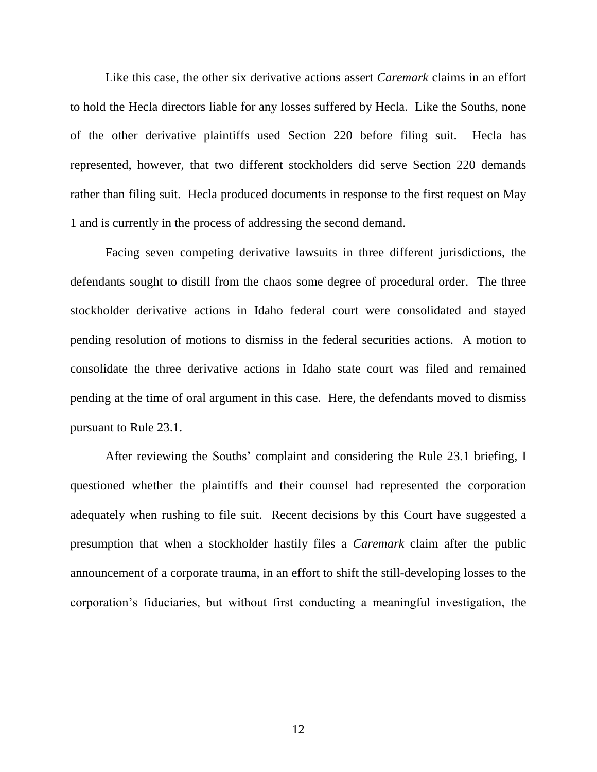Like this case, the other six derivative actions assert *Caremark* claims in an effort to hold the Hecla directors liable for any losses suffered by Hecla. Like the Souths, none of the other derivative plaintiffs used Section 220 before filing suit. Hecla has represented, however, that two different stockholders did serve Section 220 demands rather than filing suit. Hecla produced documents in response to the first request on May 1 and is currently in the process of addressing the second demand.

Facing seven competing derivative lawsuits in three different jurisdictions, the defendants sought to distill from the chaos some degree of procedural order. The three stockholder derivative actions in Idaho federal court were consolidated and stayed pending resolution of motions to dismiss in the federal securities actions. A motion to consolidate the three derivative actions in Idaho state court was filed and remained pending at the time of oral argument in this case. Here, the defendants moved to dismiss pursuant to Rule 23.1.

After reviewing the Souths' complaint and considering the Rule 23.1 briefing, I questioned whether the plaintiffs and their counsel had represented the corporation adequately when rushing to file suit. Recent decisions by this Court have suggested a presumption that when a stockholder hastily files a *Caremark* claim after the public announcement of a corporate trauma, in an effort to shift the still-developing losses to the corporation's fiduciaries, but without first conducting a meaningful investigation, the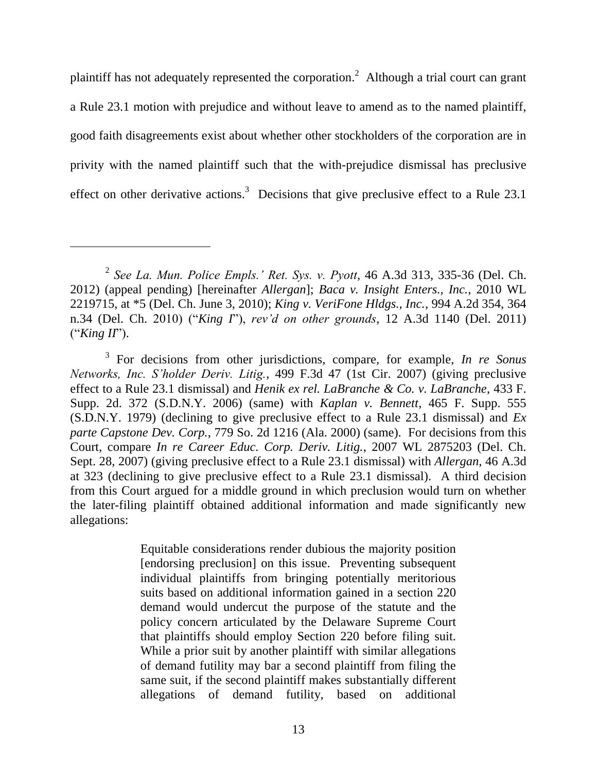plaintiff has not adequately represented the corporation.<sup>2</sup> Although a trial court can grant a Rule 23.1 motion with prejudice and without leave to amend as to the named plaintiff, good faith disagreements exist about whether other stockholders of the corporation are in privity with the named plaintiff such that the with-prejudice dismissal has preclusive effect on other derivative actions.<sup>3</sup> Decisions that give preclusive effect to a Rule 23.1

Equitable considerations render dubious the majority position [endorsing preclusion] on this issue. Preventing subsequent individual plaintiffs from bringing potentially meritorious suits based on additional information gained in a section 220 demand would undercut the purpose of the statute and the policy concern articulated by the Delaware Supreme Court that plaintiffs should employ Section 220 before filing suit. While a prior suit by another plaintiff with similar allegations of demand futility may bar a second plaintiff from filing the same suit, if the second plaintiff makes substantially different allegations of demand futility, based on additional

 $^{2}$  See La. Mun. Police Empls.' Ret. Sys. v. Pyott, 46 A.3d 313, 335-36 (Del. Ch. 2012) (appeal pending) [hereinafter Allergan]; Baca v. Insight Enters., Inc., 2010 WL 2219715, at \*5 (Del. Ch. June 3, 2010); King v. VeriFone Hldgs., Inc., 994 A.2d 354, 364 n.34 (Del. Ch. 2010) ("King I"), rev'd on other grounds, 12 A.3d 1140 (Del. 2011)  $("King II").$ 

 $3$  For decisions from other jurisdictions, compare, for example, *In re Sonus* Networks, Inc. S'holder Deriv. Litig., 499 F.3d 47 (1st Cir. 2007) (giving preclusive effect to a Rule 23.1 dismissal) and *Henik ex rel. LaBranche & Co. v. LaBranche*, 433 F. Supp. 2d. 372 (S.D.N.Y. 2006) (same) with *Kaplan v. Bennett*, 465 F. Supp. 555  $(S.D.N.Y. 1979)$  (declining to give preclusive effect to a Rule 23.1 dismissal) and Ex parte Capstone Dev. Corp., 779 So. 2d 1216 (Ala. 2000) (same). For decisions from this Court, compare In re Career Educ. Corp. Deriv. Litig., 2007 WL 2875203 (Del. Ch. Sept. 28, 2007) (giving preclusive effect to a Rule 23.1 dismissal) with *Allergan*, 46 A.3d at 323 (declining to give preclusive effect to a Rule 23.1 dismissal). A third decision from this Court argued for a middle ground in which preclusion would turn on whether the later-filing plaintiff obtained additional information and made significantly new allegations: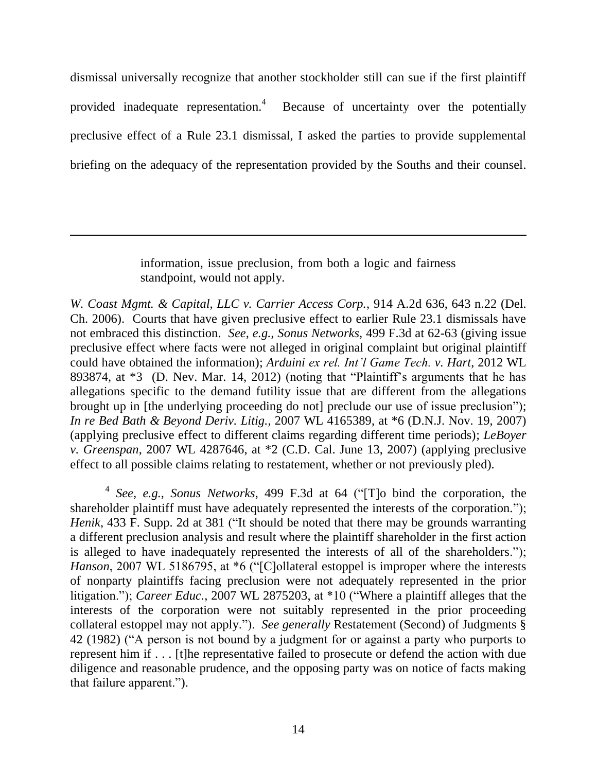dismissal universally recognize that another stockholder still can sue if the first plaintiff provided inadequate representation.<sup>4</sup> Because of uncertainty over the potentially preclusive effect of a Rule 23.1 dismissal, I asked the parties to provide supplemental briefing on the adequacy of the representation provided by the Souths and their counsel.

> information, issue preclusion, from both a logic and fairness standpoint, would not apply.

W. Coast Mgmt. & Capital, LLC v. Carrier Access Corp., 914 A.2d 636, 643 n.22 (Del. Ch. 2006). Courts that have given preclusive effect to earlier Rule 23.1 dismissals have not embraced this distinction. See, e.g., Sonus Networks, 499 F.3d at 62-63 (giving issue preclusive effect where facts were not alleged in original complaint but original plaintiff could have obtained the information); Arduini ex rel. Int'l Game Tech. v. Hart, 2012 WL 893874, at \*3 (D. Nev. Mar. 14, 2012) (noting that "Plaintiff's arguments that he has allegations specific to the demand futility issue that are different from the allegations brought up in [the underlying proceeding do not] preclude our use of issue preclusion"); In re Bed Bath & Beyond Deriv. Litig., 2007 WL 4165389, at \*6 (D.N.J. Nov. 19, 2007) (applying preclusive effect to different claims regarding different time periods); LeBoyer v. Greenspan, 2007 WL 4287646, at  $*2$  (C.D. Cal. June 13, 2007) (applying preclusive effect to all possible claims relating to restatement, whether or not previously pled).

<sup>4</sup> See, e.g., Sonus Networks, 499 F.3d at 64 ("[T]o bind the corporation, the shareholder plaintiff must have adequately represented the interests of the corporation."); Henik, 433 F. Supp. 2d at 381 ("It should be noted that there may be grounds warranting a different preclusion analysis and result where the plaintiff shareholder in the first action is alleged to have inadequately represented the interests of all of the shareholders."); Hanson, 2007 WL 5186795, at \*6 ("[C]ollateral estoppel is improper where the interests of nonparty plaintiffs facing preclusion were not adequately represented in the prior litigation."); Career Educ., 2007 WL 2875203, at \*10 ("Where a plaintiff alleges that the interests of the corporation were not suitably represented in the prior proceeding collateral estoppel may not apply."). See generally Restatement (Second) of Judgments § 42 (1982) ("A person is not bound by a judgment for or against a party who purports to represent him if . . . [t] he representative failed to prosecute or defend the action with due diligence and reasonable prudence, and the opposing party was on notice of facts making that failure apparent.").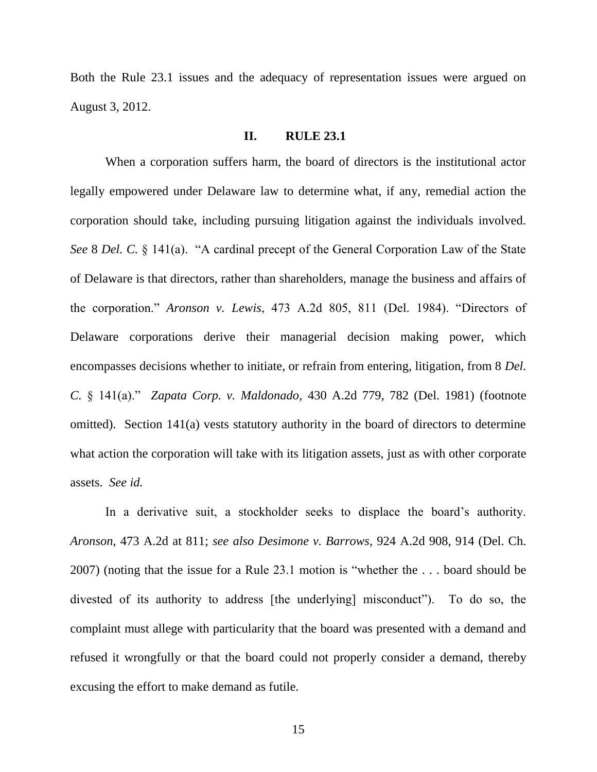Both the Rule 23.1 issues and the adequacy of representation issues were argued on August 3, 2012.

#### **II. RULE 23.1**

When a corporation suffers harm, the board of directors is the institutional actor legally empowered under Delaware law to determine what, if any, remedial action the corporation should take, including pursuing litigation against the individuals involved. See 8 Del. C. § 141(a). "A cardinal precept of the General Corporation Law of the State of Delaware is that directors, rather than shareholders, manage the business and affairs of the corporation." Aronson v. Lewis, 473 A.2d 805, 811 (Del. 1984). "Directors of Delaware corporations derive their managerial decision making power, which encompasses decisions whether to initiate, or refrain from entering, litigation, from 8 Del. C. § 141(a)." Zapata Corp. v. Maldonado, 430 A.2d 779, 782 (Del. 1981) (footnote omitted). Section 141(a) vests statutory authority in the board of directors to determine what action the corporation will take with its litigation assets, just as with other corporate assets. See id.

In a derivative suit, a stockholder seeks to displace the board's authority. Aronson, 473 A.2d at 811; see also Desimone v. Barrows, 924 A.2d 908, 914 (Del. Ch. 2007) (noting that the issue for a Rule 23.1 motion is "whether the ... board should be divested of its authority to address [the underlying] misconduct"). To do so, the complaint must allege with particularity that the board was presented with a demand and refused it wrongfully or that the board could not properly consider a demand, thereby excusing the effort to make demand as futile.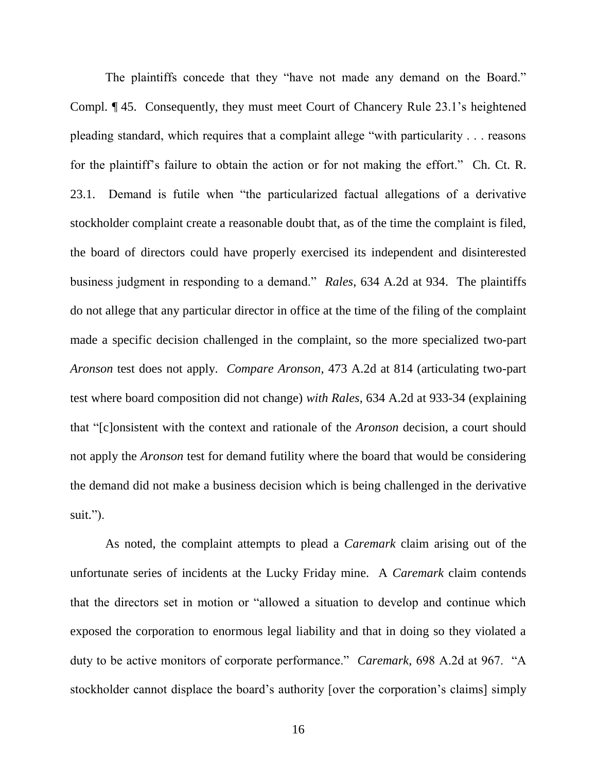The plaintiffs concede that they "have not made any demand on the Board." Compl. ¶45. Consequently, they must meet Court of Chancery Rule 23.1's heightened pleading standard, which requires that a complaint allege "with particularity... reasons" for the plaintiff's failure to obtain the action or for not making the effort." Ch. Ct. R.  $23.1.$ Demand is futile when "the particularized factual allegations of a derivative stockholder complaint create a reasonable doubt that, as of the time the complaint is filed, the board of directors could have properly exercised its independent and disinterested business judgment in responding to a demand." Rales, 634 A.2d at 934. The plaintiffs do not allege that any particular director in office at the time of the filing of the complaint made a specific decision challenged in the complaint, so the more specialized two-part Aronson test does not apply. Compare Aronson, 473 A.2d at 814 (articulating two-part test where board composition did not change) with Rales, 634 A.2d at 933-34 (explaining that "[c]onsistent with the context and rationale of the *Aronson* decision, a court should not apply the *Aronson* test for demand futility where the board that would be considering the demand did not make a business decision which is being challenged in the derivative suit.").

As noted, the complaint attempts to plead a Caremark claim arising out of the unfortunate series of incidents at the Lucky Friday mine. A Caremark claim contends that the directors set in motion or "allowed a situation to develop and continue which exposed the corporation to enormous legal liability and that in doing so they violated a duty to be active monitors of corporate performance." Caremark, 698 A.2d at 967. "A stockholder cannot displace the board's authority [over the corporation's claims] simply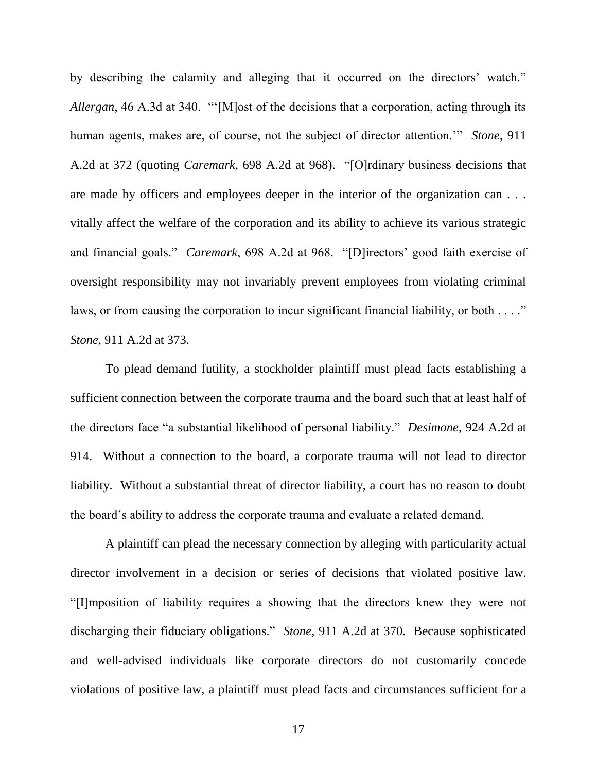by describing the calamity and alleging that it occurred on the directors' watch." Allergan, 46 A.3d at 340. "[M] ost of the decisions that a corporation, acting through its human agents, makes are, of course, not the subject of director attention." Stone, 911 A.2d at 372 (quoting *Caremark*, 698 A.2d at 968). "[O]rdinary business decisions that are made by officers and employees deeper in the interior of the organization can ... vitally affect the welfare of the corporation and its ability to achieve its various strategic and financial goals." Caremark, 698 A.2d at 968. "[D]irectors' good faith exercise of oversight responsibility may not invariably prevent employees from violating criminal laws, or from causing the corporation to incur significant financial liability, or both  $\dots$ . Stone, 911 A.2d at 373.

To plead demand futility, a stockholder plaintiff must plead facts establishing a sufficient connection between the corporate trauma and the board such that at least half of the directors face "a substantial likelihood of personal liability." *Desimone*, 924 A.2d at 914. Without a connection to the board, a corporate trauma will not lead to director liability. Without a substantial threat of director liability, a court has no reason to doubt the board's ability to address the corporate trauma and evaluate a related demand.

A plaintiff can plead the necessary connection by alleging with particularity actual director involvement in a decision or series of decisions that violated positive law. "[I] mposition of liability requires a showing that the directors knew they were not discharging their fiduciary obligations." Stone, 911 A.2d at 370. Because sophisticated and well-advised individuals like corporate directors do not customarily concede violations of positive law, a plaintiff must plead facts and circumstances sufficient for a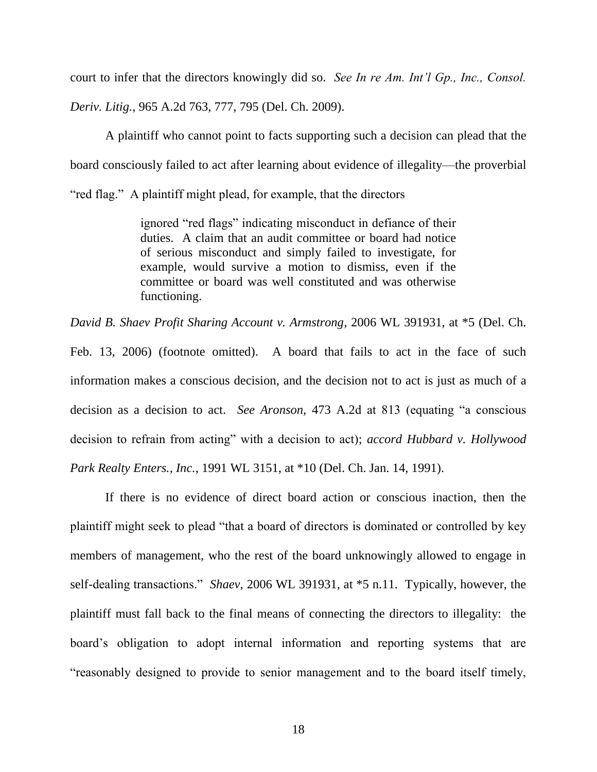court to infer that the directors knowingly did so. See In re Am. Int'l Gp., Inc., Consol. Deriv. Litig., 965 A.2d 763, 777, 795 (Del. Ch. 2009).

A plaintiff who cannot point to facts supporting such a decision can plead that the board consciously failed to act after learning about evidence of illegality—the proverbial "red flag." A plaintiff might plead, for example, that the directors

> ignored "red flags" indicating misconduct in defiance of their duties. A claim that an audit committee or board had notice of serious misconduct and simply failed to investigate, for example, would survive a motion to dismiss, even if the committee or board was well constituted and was otherwise functioning.

David B. Shaev Profit Sharing Account v. Armstrong, 2006 WL 391931, at \*5 (Del. Ch. Feb. 13, 2006) (footnote omitted). A board that fails to act in the face of such information makes a conscious decision, and the decision not to act is just as much of a decision as a decision to act. See Aronson, 473 A.2d at 813 (equating "a conscious decision to refrain from acting" with a decision to act); accord Hubbard v. Hollywood Park Realty Enters., Inc., 1991 WL 3151, at \*10 (Del. Ch. Jan. 14, 1991).

If there is no evidence of direct board action or conscious inaction, then the plaintiff might seek to plead "that a board of directors is dominated or controlled by key members of management, who the rest of the board unknowingly allowed to engage in self-dealing transactions." Shaev, 2006 WL 391931, at \*5 n.11. Typically, however, the plaintiff must fall back to the final means of connecting the directors to illegality: the board's obligation to adopt internal information and reporting systems that are "reasonably designed to provide to senior management and to the board itself timely,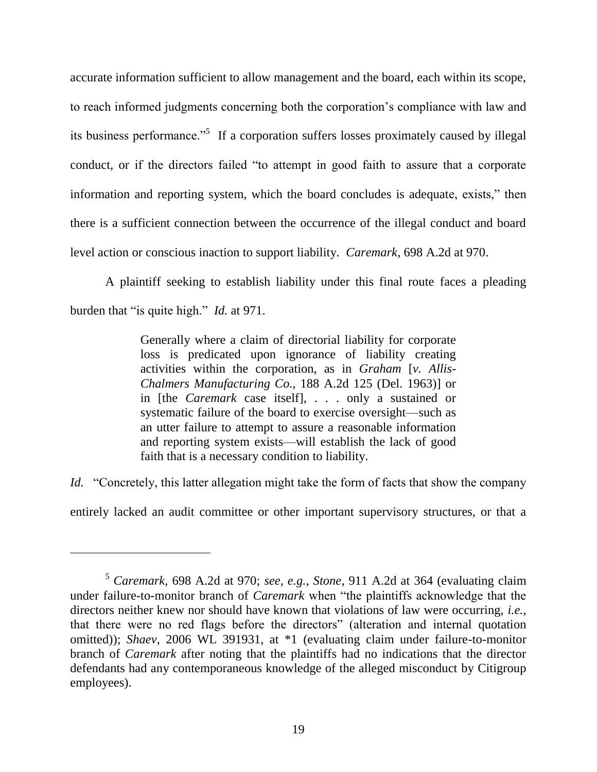accurate information sufficient to allow management and the board, each within its scope, to reach informed judgments concerning both the corporation's compliance with law and its business performance."<sup>5</sup> If a corporation suffers losses proximately caused by illegal conduct, or if the directors failed "to attempt in good faith to assure that a corporate information and reporting system, which the board concludes is adequate, exists," then there is a sufficient connection between the occurrence of the illegal conduct and board level action or conscious inaction to support liability. *Caremark*, 698 A.2d at 970.

A plaintiff seeking to establish liability under this final route faces a pleading burden that "is quite high." *Id.* at 971.

> Generally where a claim of directorial liability for corporate loss is predicated upon ignorance of liability creating activities within the corporation, as in Graham [v. Allis-Chalmers Manufacturing Co., 188 A.2d 125 (Del. 1963)] or in [the *Caremark* case itself], . . . only a sustained or systematic failure of the board to exercise oversight—such as an utter failure to attempt to assure a reasonable information and reporting system exists—will establish the lack of good faith that is a necessary condition to liability.

*Id.* "Concretely, this latter allegation might take the form of facts that show the company entirely lacked an audit committee or other important supervisory structures, or that a

<sup>&</sup>lt;sup>5</sup> Caremark, 698 A.2d at 970; see, e.g., Stone, 911 A.2d at 364 (evaluating claim under failure-to-monitor branch of *Caremark* when "the plaintiffs acknowledge that the directors neither knew nor should have known that violations of law were occurring, *i.e.*, that there were no red flags before the directors" (alteration and internal quotation omitted)); Shaev, 2006 WL 391931, at \*1 (evaluating claim under failure-to-monitor branch of *Caremark* after noting that the plaintiffs had no indications that the director defendants had any contemporaneous knowledge of the alleged misconduct by Citigroup employees).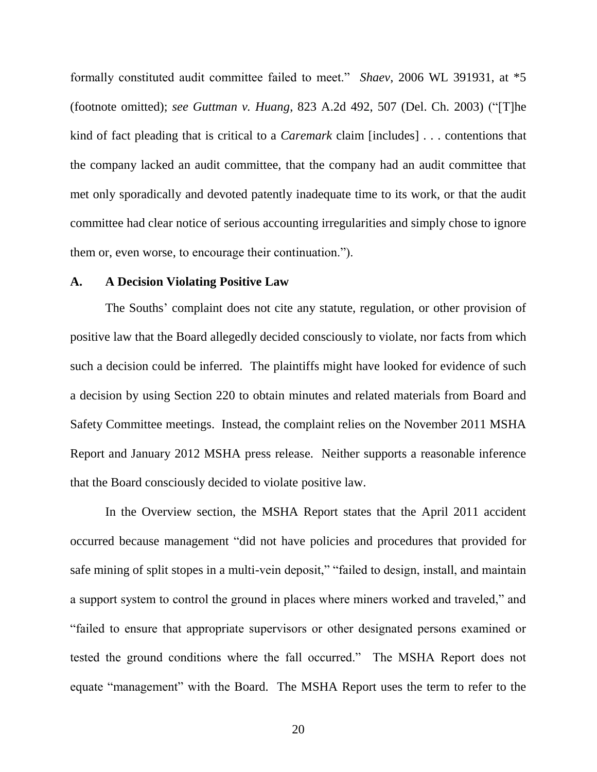formally constituted audit committee failed to meet." Shaev, 2006 WL 391931, at \*5 (footnote omitted); see Guttman v. Huang, 823 A.2d 492, 507 (Del. Ch. 2003) ("[T]he kind of fact pleading that is critical to a *Caremark* claim [includes] . . . contentions that the company lacked an audit committee, that the company had an audit committee that met only sporadically and devoted patently inadequate time to its work, or that the audit committee had clear notice of serious accounting irregularities and simply chose to ignore them or, even worse, to encourage their continuation.").

#### $\mathbf{A}$ . **A Decision Violating Positive Law**

The Souths' complaint does not cite any statute, regulation, or other provision of positive law that the Board allegedly decided consciously to violate, nor facts from which such a decision could be inferred. The plaintiffs might have looked for evidence of such a decision by using Section 220 to obtain minutes and related materials from Board and Safety Committee meetings. Instead, the complaint relies on the November 2011 MSHA Report and January 2012 MSHA press release. Neither supports a reasonable inference that the Board consciously decided to violate positive law.

In the Overview section, the MSHA Report states that the April 2011 accident occurred because management "did not have policies and procedures that provided for safe mining of split stopes in a multi-vein deposit," "failed to design, install, and maintain a support system to control the ground in places where miners worked and traveled," and "failed to ensure that appropriate supervisors or other designated persons examined or tested the ground conditions where the fall occurred." The MSHA Report does not equate "management" with the Board. The MSHA Report uses the term to refer to the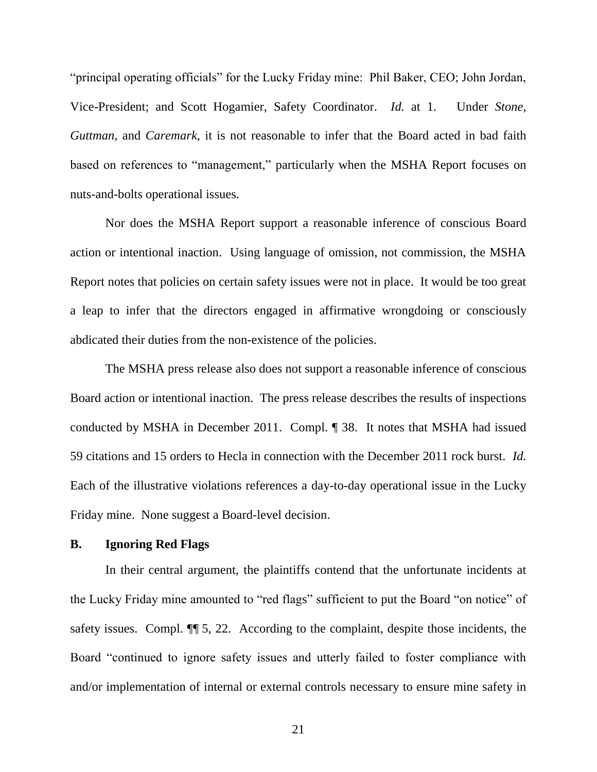"principal operating officials" for the Lucky Friday mine: Phil Baker, CEO; John Jordan, Vice-President; and Scott Hogamier, Safety Coordinator. Id. at 1. Under Stone, Guttman, and Caremark, it is not reasonable to infer that the Board acted in bad faith based on references to "management," particularly when the MSHA Report focuses on nuts-and-bolts operational issues.

Nor does the MSHA Report support a reasonable inference of conscious Board action or intentional inaction. Using language of omission, not commission, the MSHA Report notes that policies on certain safety issues were not in place. It would be too great a leap to infer that the directors engaged in affirmative wrong doing or consciously abdicated their duties from the non-existence of the policies.

The MSHA press release also does not support a reasonable inference of conscious Board action or intentional inaction. The press release describes the results of inspections conducted by MSHA in December 2011. Compl. ¶ 38. It notes that MSHA had issued 59 citations and 15 orders to Hecla in connection with the December 2011 rock burst. *Id.* Each of the illustrative violations references a day-to-day operational issue in the Lucky Friday mine. None suggest a Board-level decision.

#### **B. Ignoring Red Flags**

In their central argument, the plaintiffs contend that the unfortunate incidents at the Lucky Friday mine amounted to "red flags" sufficient to put the Board "on notice" of safety issues. Compl.  $\P$  5, 22. According to the complaint, despite those incidents, the Board "continued to ignore safety issues and utterly failed to foster compliance with and/or implementation of internal or external controls necessary to ensure mine safety in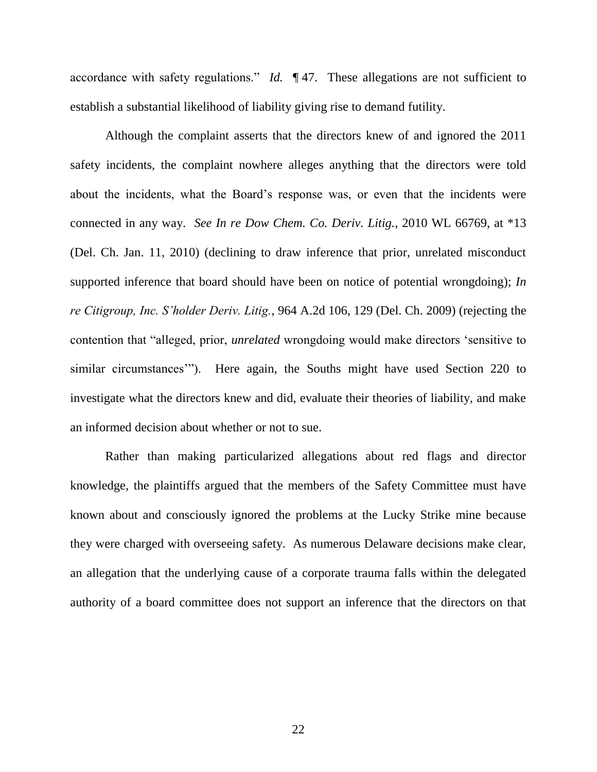accordance with safety regulations." *Id.*  $\P$  47. These allegations are not sufficient to establish a substantial likelihood of liability giving rise to demand futility.

Although the complaint asserts that the directors knew of and ignored the 2011 safety incidents, the complaint nowhere alleges anything that the directors were told about the incidents, what the Board's response was, or even that the incidents were connected in any way. See In re Dow Chem. Co. Deriv. Litig., 2010 WL 66769, at \*13 (Del. Ch. Jan. 11, 2010) (declining to draw inference that prior, unrelated misconduct supported inference that board should have been on notice of potential wrongdoing); In re Citigroup, Inc. S'holder Deriv. Litig., 964 A.2d 106, 129 (Del. Ch. 2009) (rejecting the contention that "alleged, prior, *unrelated* wrongdoing would make directors 'sensitive to similar circumstances"). Here again, the Souths might have used Section 220 to investigate what the directors knew and did, evaluate their theories of liability, and make an informed decision about whether or not to sue.

Rather than making particularized allegations about red flags and director knowledge, the plaintiffs argued that the members of the Safety Committee must have known about and consciously ignored the problems at the Lucky Strike mine because they were charged with overseeing safety. As numerous Delaware decisions make clear, an allegation that the underlying cause of a corporate trauma falls within the delegated authority of a board committee does not support an inference that the directors on that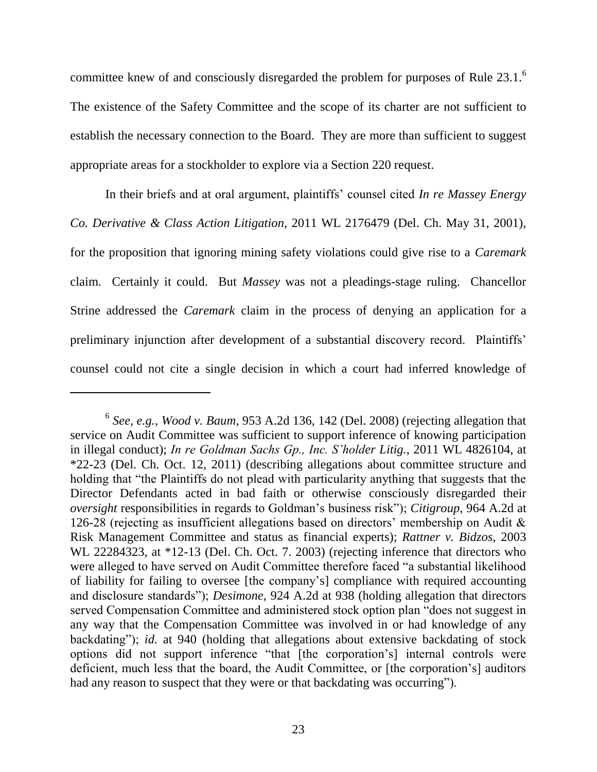committee knew of and consciously disregarded the problem for purposes of Rule 23.1.<sup>6</sup> The existence of the Safety Committee and the scope of its charter are not sufficient to establish the necessary connection to the Board. They are more than sufficient to suggest appropriate areas for a stockholder to explore via a Section 220 request.

In their briefs and at oral argument, plaintiffs' counsel cited In re Massey Energy Co. Derivative & Class Action Litigation, 2011 WL 2176479 (Del. Ch. May 31, 2001), for the proposition that ignoring mining safety violations could give rise to a *Caremark* claim. Certainly it could. But Massey was not a pleadings-stage ruling. Chancellor Strine addressed the *Caremark* claim in the process of denying an application for a preliminary injunction after development of a substantial discovery record. Plaintiffs' counsel could not cite a single decision in which a court had inferred knowledge of

 $6$  See, e.g., Wood v. Baum, 953 A.2d 136, 142 (Del. 2008) (rejecting allegation that service on Audit Committee was sufficient to support inference of knowing participation in illegal conduct); In re Goldman Sachs Gp., Inc. S'holder Litig., 2011 WL 4826104, at  $*22-23$  (Del. Ch. Oct. 12, 2011) (describing allegations about committee structure and holding that "the Plaintiffs do not plead with particularity anything that suggests that the Director Defendants acted in bad faith or otherwise consciously disregarded their oversight responsibilities in regards to Goldman's business risk"); Citigroup, 964 A.2d at 126-28 (rejecting as insufficient allegations based on directors' membership on Audit  $\&$ Risk Management Committee and status as financial experts); Rattner v. Bidzos, 2003 WL 22284323, at \*12-13 (Del. Ch. Oct. 7. 2003) (rejecting inference that directors who were alleged to have served on Audit Committee therefore faced "a substantial likelihood of liability for failing to oversee [the company's] compliance with required accounting and disclosure standards"); *Desimone*, 924 A.2d at 938 (holding allegation that directors served Compensation Committee and administered stock option plan "does not suggest in any way that the Compensation Committee was involved in or had knowledge of any backdating"); id. at 940 (holding that allegations about extensive backdating of stock options did not support inference "that [the corporation's] internal controls were deficient, much less that the board, the Audit Committee, or [the corporation's] auditors had any reason to suspect that they were or that backdating was occurring").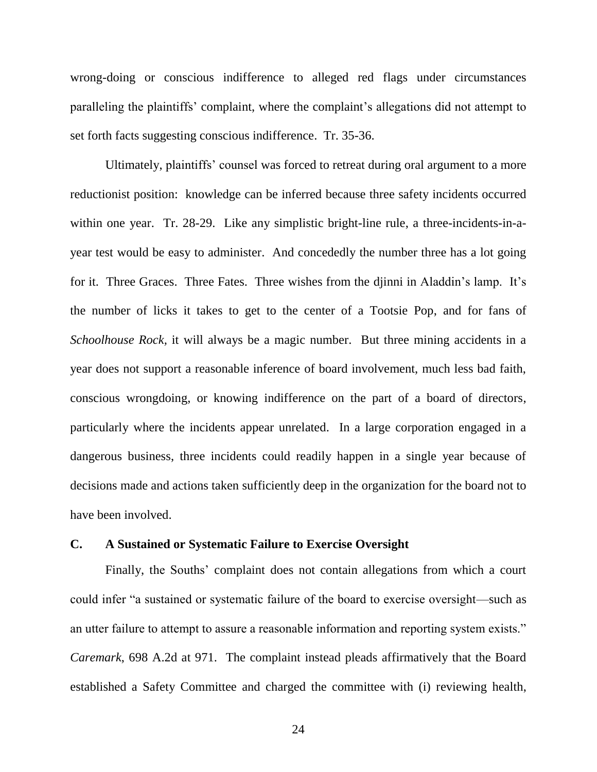wrong-doing or conscious indifference to alleged red flags under circumstances paralleling the plaintiffs' complaint, where the complaint's allegations did not attempt to set forth facts suggesting conscious indifference. Tr. 35-36.

Ultimately, plaintiffs' counsel was forced to retreat during oral argument to a more reductionist position: knowledge can be inferred because three safety incidents occurred within one year. Tr. 28-29. Like any simplistic bright-line rule, a three-incidents-in-ayear test would be easy to administer. And concededly the number three has a lot going for it. Three Graces. Three Fates. Three wishes from the diinni in Aladdin's lamp. It's the number of licks it takes to get to the center of a Tootsie Pop, and for fans of Schoolhouse Rock, it will always be a magic number. But three mining accidents in a year does not support a reasonable inference of board involvement, much less bad faith, conscious wrongdoing, or knowing indifference on the part of a board of directors, particularly where the incidents appear unrelated. In a large corporation engaged in a dangerous business, three incidents could readily happen in a single year because of decisions made and actions taken sufficiently deep in the organization for the board not to have been involved.

#### $\mathbf{C}$ A Sustained or Systematic Failure to Exercise Oversight

Finally, the Souths' complaint does not contain allegations from which a court could infer "a sustained or systematic failure of the board to exercise oversight—such as an utter failure to attempt to assure a reasonable information and reporting system exists." Caremark, 698 A.2d at 971. The complaint instead pleads affirmatively that the Board established a Safety Committee and charged the committee with (i) reviewing health,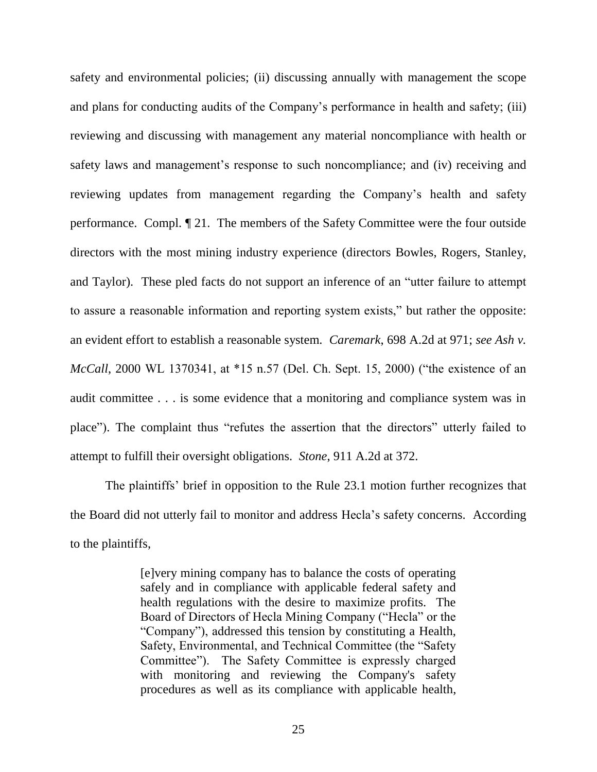safety and environmental policies; (ii) discussing annually with management the scope and plans for conducting audits of the Company's performance in health and safety; (iii) reviewing and discussing with management any material noncompliance with health or safety laws and management's response to such noncompliance; and (iv) receiving and reviewing updates from management regarding the Company's health and safety performance. Compl. 1 21. The members of the Safety Committee were the four outside directors with the most mining industry experience (directors Bowles, Rogers, Stanley, and Taylor). These pled facts do not support an inference of an "utter failure to attempt to assure a reasonable information and reporting system exists," but rather the opposite: an evident effort to establish a reasonable system. Caremark, 698 A.2d at 971; see Ash v. *McCall*, 2000 WL 1370341, at \*15 n.57 (Del. Ch. Sept. 15, 2000) ("the existence of an audit committee . . . is some evidence that a monitoring and compliance system was in place"). The complaint thus "refutes the assertion that the directors" utterly failed to attempt to fulfill their oversight obligations. *Stone*, 911 A.2d at 372.

The plaintiffs' brief in opposition to the Rule 23.1 motion further recognizes that the Board did not utterly fail to monitor and address Hecla's safety concerns. According to the plaintiffs,

> elvery mining company has to balance the costs of operating safely and in compliance with applicable federal safety and health regulations with the desire to maximize profits. The Board of Directors of Hecla Mining Company ("Hecla" or the "Company"), addressed this tension by constituting a Health, Safety, Environmental, and Technical Committee (the "Safety" Committee"). The Safety Committee is expressly charged with monitoring and reviewing the Company's safety procedures as well as its compliance with applicable health,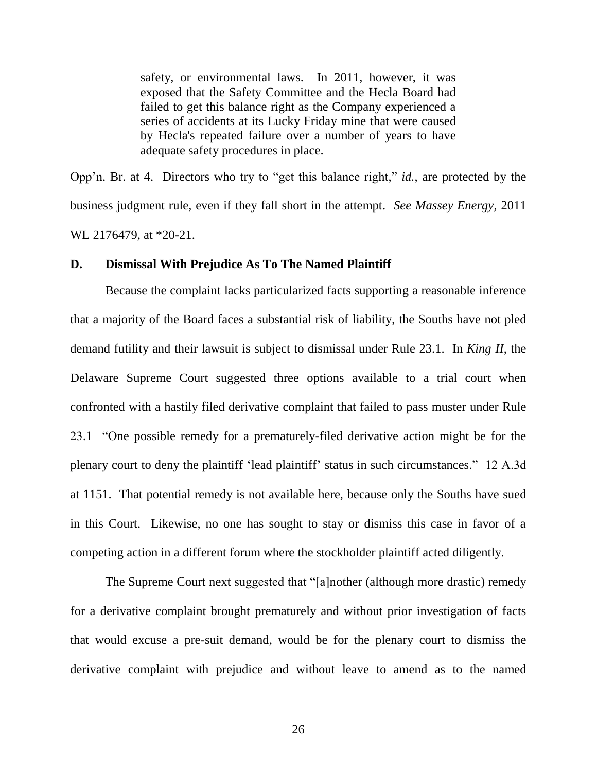safety, or environmental laws. In 2011, however, it was exposed that the Safety Committee and the Hecla Board had failed to get this balance right as the Company experienced a series of accidents at its Lucky Friday mine that were caused by Hecla's repeated failure over a number of years to have adequate safety procedures in place.

Opp'n. Br. at 4. Directors who try to "get this balance right," id., are protected by the business judgment rule, even if they fall short in the attempt. See Massey Energy, 2011 WL 2176479, at \*20-21.

### D. **Dismissal With Prejudice As To The Named Plaintiff**

Because the complaint lacks particularized facts supporting a reasonable inference that a majority of the Board faces a substantial risk of liability, the Souths have not pled demand futility and their lawsuit is subject to dismissal under Rule 23.1. In King II, the Delaware Supreme Court suggested three options available to a trial court when confronted with a hastily filed derivative complaint that failed to pass muster under Rule 23.1 "One possible remedy for a prematurely-filed derivative action might be for the plenary court to deny the plaintiff 'lead plaintiff' status in such circumstances." 12 A.3d at 1151. That potential remedy is not available here, because only the Souths have sued in this Court. Likewise, no one has sought to stay or dismiss this case in favor of a competing action in a different forum where the stockholder plaintiff acted diligently.

The Supreme Court next suggested that "[a]nother (although more drastic) remedy for a derivative complaint brought prematurely and without prior investigation of facts that would excuse a pre-suit demand, would be for the plenary court to dismiss the derivative complaint with prejudice and without leave to amend as to the named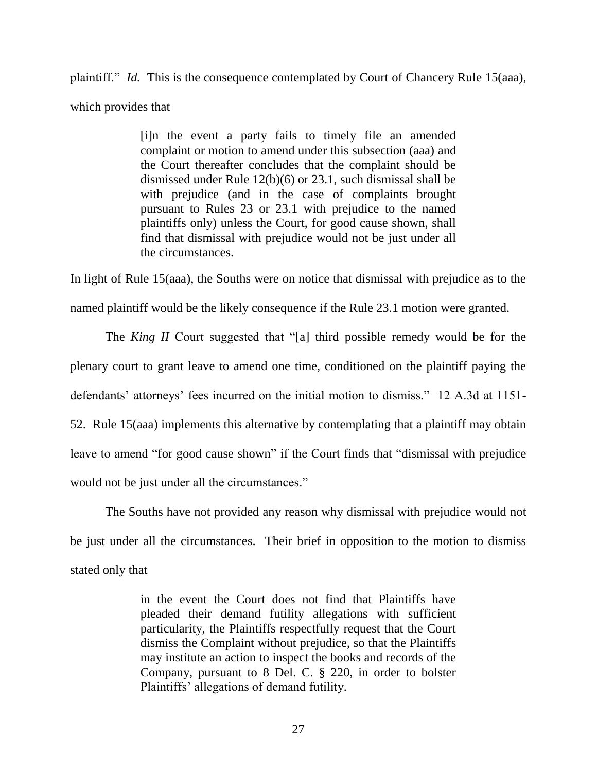plaintiff." *Id.* This is the consequence contemplated by Court of Chancery Rule 15(aaa), which provides that

> [i]n the event a party fails to timely file an amended complaint or motion to amend under this subsection (aaa) and the Court thereafter concludes that the complaint should be dismissed under Rule  $12(b)(6)$  or 23.1, such dismissal shall be with prejudice (and in the case of complaints brought pursuant to Rules 23 or 23.1 with prejudice to the named plaintiffs only) unless the Court, for good cause shown, shall find that dismissal with prejudice would not be just under all the circumstances.

In light of Rule 15(aaa), the Souths were on notice that dismissal with prejudice as to the named plaintiff would be the likely consequence if the Rule 23.1 motion were granted.

The King II Court suggested that "[a] third possible remedy would be for the plenary court to grant leave to amend one time, conditioned on the plaintiff paying the defendants' attorneys' fees incurred on the initial motion to dismiss." 12 A.3d at 1151-52. Rule 15(aaa) implements this alternative by contemplating that a plaintiff may obtain leave to amend "for good cause shown" if the Court finds that "dismissal with prejudice" would not be just under all the circumstances."

The Souths have not provided any reason why dismissal with prejudice would not be just under all the circumstances. Their brief in opposition to the motion to dismiss stated only that

> in the event the Court does not find that Plaintiffs have pleaded their demand futility allegations with sufficient particularity, the Plaintiffs respectfully request that the Court dismiss the Complaint without prejudice, so that the Plaintiffs may institute an action to inspect the books and records of the Company, pursuant to 8 Del. C. § 220, in order to bolster Plaintiffs' allegations of demand futility.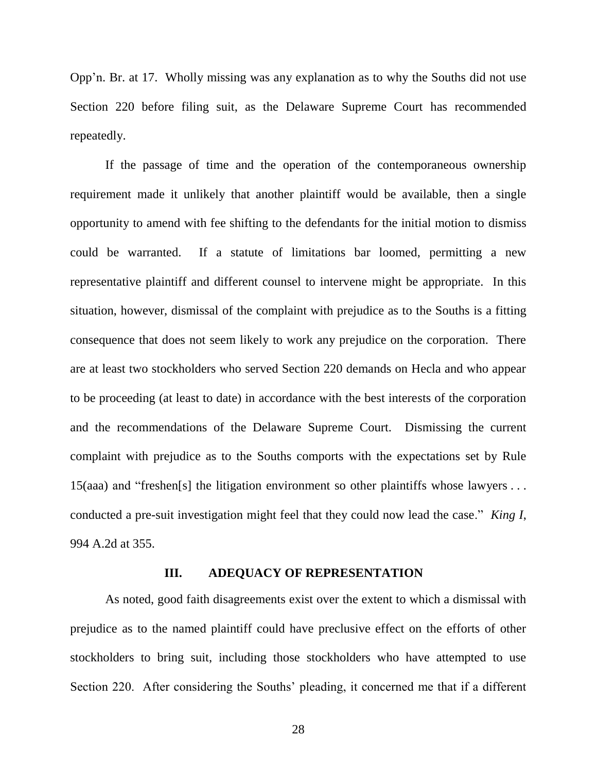Opp'n. Br. at 17. Wholly missing was any explanation as to why the Souths did not use Section 220 before filing suit, as the Delaware Supreme Court has recommended repeatedly.

If the passage of time and the operation of the contemporaneous ownership requirement made it unlikely that another plaintiff would be available, then a single opportunity to amend with fee shifting to the defendants for the initial motion to dismiss could be warranted. If a statute of limitations bar loomed, permitting a new representative plaintiff and different counsel to intervene might be appropriate. In this situation, however, dismissal of the complaint with prejudice as to the Souths is a fitting consequence that does not seem likely to work any prejudice on the corporation. There are at least two stockholders who served Section 220 demands on Hecla and who appear to be proceeding (at least to date) in accordance with the best interests of the corporation and the recommendations of the Delaware Supreme Court. Dismissing the current complaint with prejudice as to the Souths comports with the expectations set by Rule 15(aaa) and "freshen[s] the litigation environment so other plaintiffs whose lawyers ... conducted a pre-suit investigation might feel that they could now lead the case." King I, 994 A.2d at 355.

#### III. **ADEQUACY OF REPRESENTATION**

As noted, good faith disagreements exist over the extent to which a dismissal with prejudice as to the named plaintiff could have preclusive effect on the efforts of other stockholders to bring suit, including those stockholders who have attempted to use Section 220. After considering the Souths' pleading, it concerned me that if a different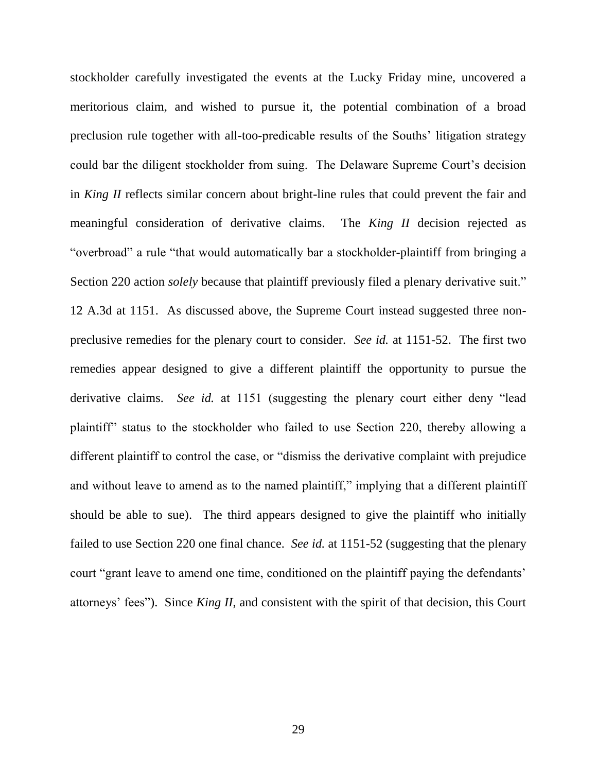stockholder carefully investigated the events at the Lucky Friday mine, uncovered a meritorious claim, and wished to pursue it, the potential combination of a broad preclusion rule together with all-too-predicable results of the Souths' litigation strategy could bar the diligent stockholder from suing. The Delaware Supreme Court's decision in King II reflects similar concern about bright-line rules that could prevent the fair and meaningful consideration of derivative claims. The King II decision rejected as "overbroad" a rule "that would automatically bar a stockholder-plaintiff from bringing a Section 220 action *solely* because that plaintiff previously filed a plenary derivative suit." 12 A.3d at 1151. As discussed above, the Supreme Court instead suggested three nonpreclusive remedies for the plenary court to consider. See id. at 1151-52. The first two remedies appear designed to give a different plaintiff the opportunity to pursue the derivative claims. See id. at 1151 (suggesting the plenary court either deny "lead plaintiff" status to the stockholder who failed to use Section 220, thereby allowing a different plaintiff to control the case, or "dismiss the derivative complaint with prejudice" and without leave to amend as to the named plaintiff," implying that a different plaintiff should be able to sue). The third appears designed to give the plaintiff who initially failed to use Section 220 one final chance. See id. at 1151-52 (suggesting that the plenary court "grant leave to amend one time, conditioned on the plaintiff paying the defendants' attorneys' fees"). Since *King II*, and consistent with the spirit of that decision, this Court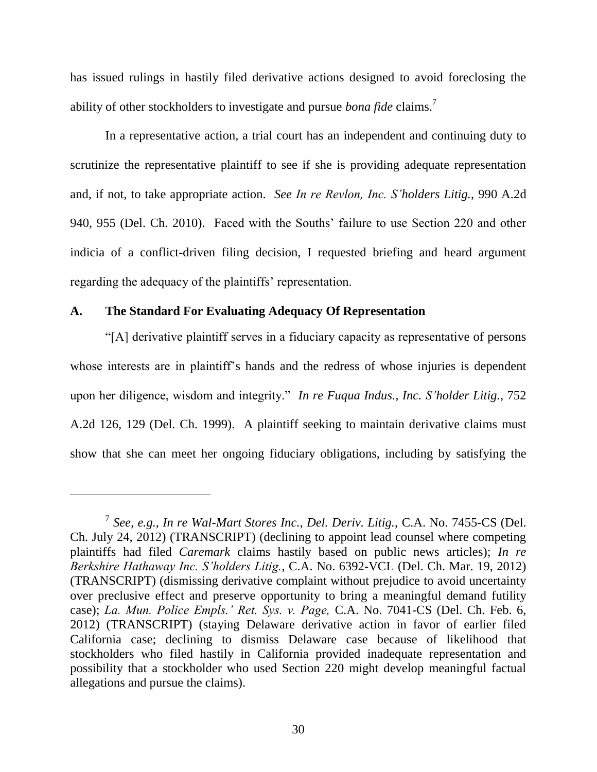has issued rulings in hastily filed derivative actions designed to avoid foreclosing the ability of other stockholders to investigate and pursue *bona fide* claims.<sup>7</sup>

In a representative action, a trial court has an independent and continuing duty to scrutinize the representative plaintiff to see if she is providing adequate representation and, if not, to take appropriate action. See In re Revlon, Inc. S'holders Litig., 990 A.2d 940, 955 (Del. Ch. 2010). Faced with the Souths' failure to use Section 220 and other indicia of a conflict-driven filing decision, I requested briefing and heard argument regarding the adequacy of the plaintiffs' representation.

#### $\mathbf{A}$ . The Standard For Evaluating Adequacy Of Representation

"[A] derivative plaintiff serves in a fiduciary capacity as representative of persons whose interests are in plaintiff's hands and the redress of whose injuries is dependent upon her diligence, wisdom and integrity." In re Fuqua Indus., Inc. S'holder Litig., 752 A.2d 126, 129 (Del. Ch. 1999). A plaintiff seeking to maintain derivative claims must show that she can meet her ongoing fiduciary obligations, including by satisfying the

<sup>&</sup>lt;sup>7</sup> See, e.g., In re Wal-Mart Stores Inc., Del. Deriv. Litig., C.A. No. 7455-CS (Del. Ch. July 24, 2012) (TRANSCRIPT) (declining to appoint lead counsel where competing plaintiffs had filed *Caremark* claims hastily based on public news articles); In re Berkshire Hathaway Inc. S'holders Litig., C.A. No. 6392-VCL (Del. Ch. Mar. 19, 2012) (TRANSCRIPT) (dismissing derivative complaint without prejudice to avoid uncertainty over preclusive effect and preserve opportunity to bring a meaningful demand futility case); La. Mun. Police Empls.' Ret. Sys. v. Page, C.A. No. 7041-CS (Del. Ch. Feb. 6, 2012) (TRANSCRIPT) (staying Delaware derivative action in favor of earlier filed California case; declining to dismiss Delaware case because of likelihood that stockholders who filed hastily in California provided inadequate representation and possibility that a stockholder who used Section 220 might develop meaningful factual allegations and pursue the claims).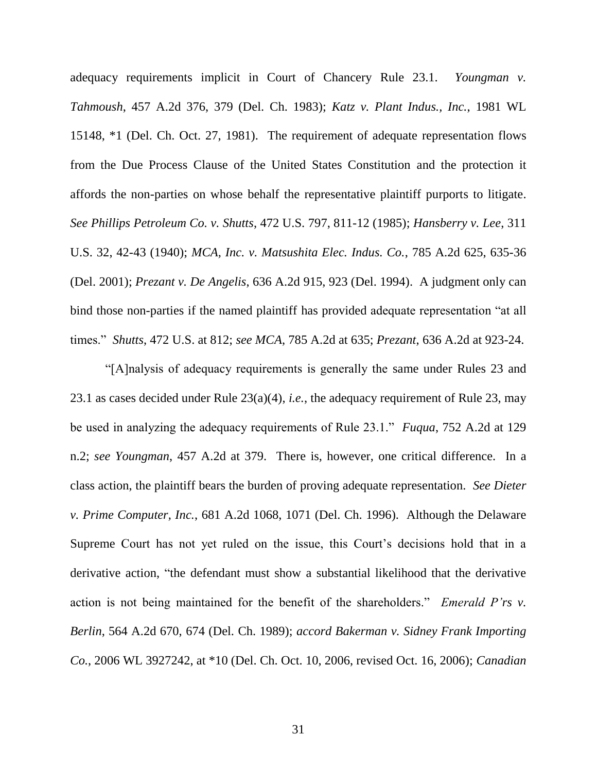adequacy requirements implicit in Court of Chancery Rule 23.1. Youngman v. Tahmoush, 457 A.2d 376, 379 (Del. Ch. 1983); Katz v. Plant Indus., Inc., 1981 WL 15148, \*1 (Del. Ch. Oct. 27, 1981). The requirement of adequate representation flows from the Due Process Clause of the United States Constitution and the protection it affords the non-parties on whose behalf the representative plaintiff purports to litigate. See Phillips Petroleum Co. v. Shutts, 472 U.S. 797, 811-12 (1985); Hansberry v. Lee, 311 U.S. 32, 42-43 (1940); MCA, Inc. v. Matsushita Elec. Indus. Co., 785 A.2d 625, 635-36 (Del. 2001); *Prezant v. De Angelis*, 636 A.2d 915, 923 (Del. 1994). A judgment only can bind those non-parties if the named plaintiff has provided adequate representation "at all times." Shutts, 472 U.S. at 812; see MCA, 785 A.2d at 635; Prezant, 636 A.2d at 923-24.

"[A]nalysis of adequacy requirements is generally the same under Rules 23 and 23.1 as cases decided under Rule  $23(a)(4)$ , *i.e.*, the adequacy requirement of Rule 23, may be used in analyzing the adequacy requirements of Rule 23.1." *Fuqua*, 752 A.2d at 129 n.2; see Youngman, 457 A.2d at 379. There is, however, one critical difference. In a class action, the plaintiff bears the burden of proving adequate representation. See Dieter v. Prime Computer, Inc., 681 A.2d 1068, 1071 (Del. Ch. 1996). Although the Delaware Supreme Court has not yet ruled on the issue, this Court's decisions hold that in a derivative action, "the defendant must show a substantial likelihood that the derivative action is not being maintained for the benefit of the shareholders." *Emerald P'rs v.* Berlin, 564 A.2d 670, 674 (Del. Ch. 1989); accord Bakerman v. Sidney Frank Importing Co., 2006 WL 3927242, at \*10 (Del. Ch. Oct. 10, 2006, revised Oct. 16, 2006); Canadian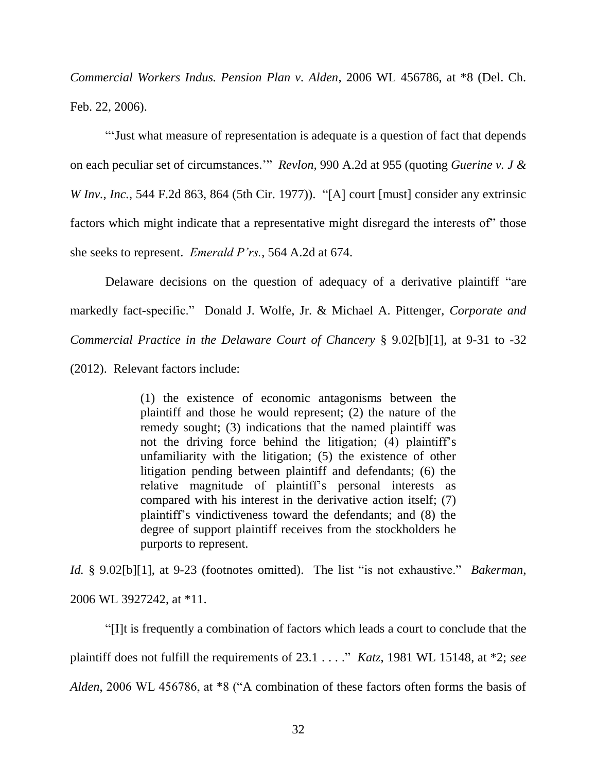Commercial Workers Indus. Pension Plan v. Alden, 2006 WL 456786, at \*8 (Del. Ch. Feb. 22, 2006).

"Just what measure of representation is adequate is a question of fact that depends on each peculiar set of circumstances." Revlon, 990 A.2d at 955 (quoting Guerine v. J & W Inv., Inc., 544 F.2d 863, 864 (5th Cir. 1977)). "[A] court [must] consider any extrinsic factors which might indicate that a representative might disregard the interests of" those she seeks to represent. *Emerald P'rs.*, 564 A.2d at 674.

Delaware decisions on the question of adequacy of a derivative plaintiff "are markedly fact-specific." Donald J. Wolfe, Jr. & Michael A. Pittenger, Corporate and Commercial Practice in the Delaware Court of Chancery § 9.02[b][1], at 9-31 to -32 (2012). Relevant factors include:

> (1) the existence of economic antagonisms between the plaintiff and those he would represent; (2) the nature of the remedy sought; (3) indications that the named plaintiff was not the driving force behind the litigation; (4) plaintiff's unfamiliarity with the litigation; (5) the existence of other litigation pending between plaintiff and defendants; (6) the relative magnitude of plaintiff's personal interests as compared with his interest in the derivative action itself; (7) plaintiff's vindictiveness toward the defendants; and (8) the degree of support plaintiff receives from the stockholders he purports to represent.

Id. § 9.02[b][1], at 9-23 (footnotes omitted). The list "is not exhaustive." Bakerman, 2006 WL 3927242, at \*11.

"[I]t is frequently a combination of factors which leads a court to conclude that the plaintiff does not fulfill the requirements of 23.1 . . . . " Katz, 1981 WL 15148, at \*2; see Alden, 2006 WL 456786, at \*8 ("A combination of these factors often forms the basis of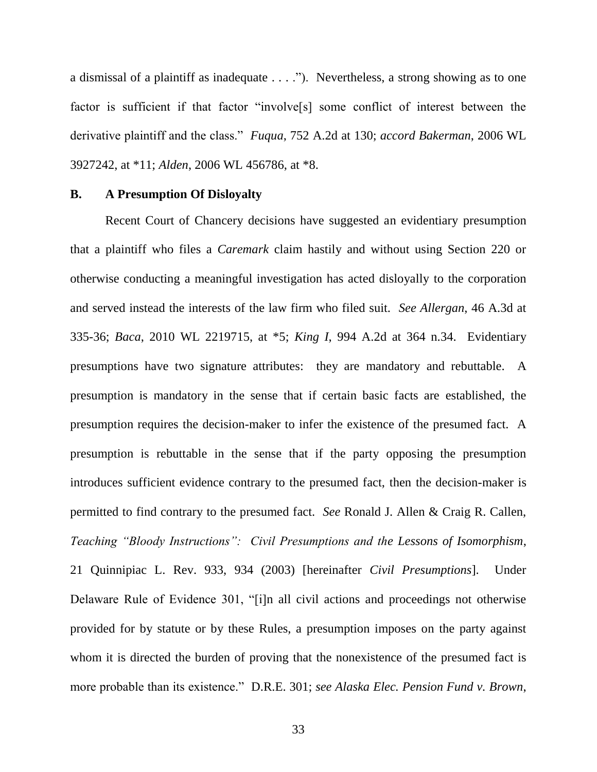a dismissal of a plaintiff as inadequate  $\dots$  "). Nevertheless, a strong showing as to one factor is sufficient if that factor "involve<sup>[5]</sup> some conflict of interest between the derivative plaintiff and the class." Fugua, 752 A.2d at 130; accord Bakerman, 2006 WL 3927242, at \*11; Alden, 2006 WL 456786, at \*8.

## **B. A Presumption Of Disloyalty**

Recent Court of Chancery decisions have suggested an evidentiary presumption that a plaintiff who files a *Caremark* claim hastily and without using Section 220 or otherwise conducting a meaningful investigation has acted dislovally to the corporation and served instead the interests of the law firm who filed suit. See Allergan, 46 A.3d at 335-36; Baca, 2010 WL 2219715, at \*5; King I, 994 A.2d at 364 n.34. Evidentiary presumptions have two signature attributes: they are mandatory and rebuttable. A presumption is mandatory in the sense that if certain basic facts are established, the presumption requires the decision-maker to infer the existence of the presumed fact. A presumption is rebuttable in the sense that if the party opposing the presumption introduces sufficient evidence contrary to the presumed fact, then the decision-maker is permitted to find contrary to the presumed fact. See Ronald J. Allen & Craig R. Callen, Teaching "Bloody Instructions": Civil Presumptions and the Lessons of Isomorphism, 21 Quinnipiac L. Rev. 933, 934 (2003) [hereinafter Civil Presumptions]. Under Delaware Rule of Evidence 301, "[i]n all civil actions and proceedings not otherwise provided for by statute or by these Rules, a presumption imposes on the party against whom it is directed the burden of proving that the nonexistence of the presumed fact is more probable than its existence." D.R.E. 301; see Alaska Elec. Pension Fund v. Brown,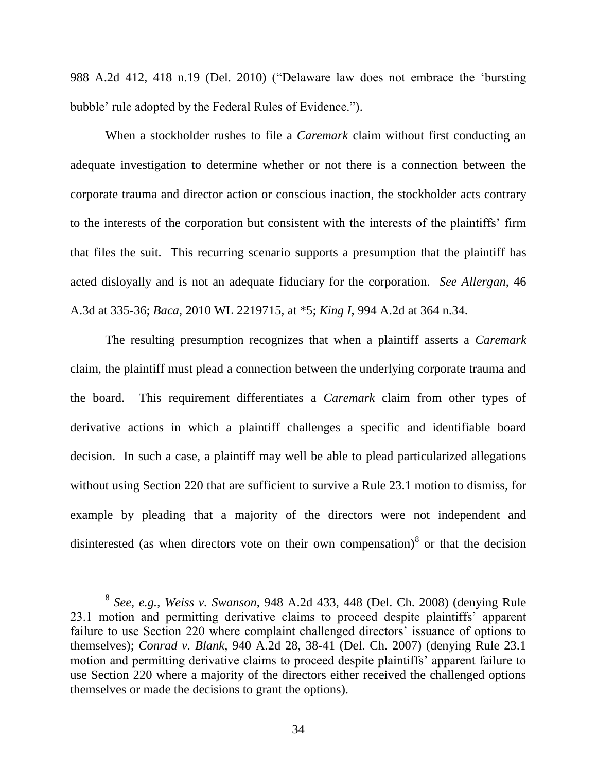988 A.2d 412, 418 n.19 (Del. 2010) ("Delaware law does not embrace the 'bursting bubble' rule adopted by the Federal Rules of Evidence.").

When a stockholder rushes to file a *Caremark* claim without first conducting an adequate investigation to determine whether or not there is a connection between the corporate trauma and director action or conscious inaction, the stockholder acts contrary to the interests of the corporation but consistent with the interests of the plaintiffs' firm that files the suit. This recurring scenario supports a presumption that the plaintiff has acted disloyally and is not an adequate fiduciary for the corporation. See Allergan, 46 A.3d at 335-36; *Baca*, 2010 WL 2219715, at \*5; *King I*, 994 A.2d at 364 n.34.

The resulting presumption recognizes that when a plaintiff asserts a *Caremark* claim, the plaintiff must plead a connection between the underlying corporate trauma and This requirement differentiates a *Caremark* claim from other types of the board. derivative actions in which a plaintiff challenges a specific and identifiable board decision. In such a case, a plaintiff may well be able to plead particularized allegations without using Section 220 that are sufficient to survive a Rule 23.1 motion to dismiss, for example by pleading that a majority of the directors were not independent and disinterested (as when directors vote on their own compensation) $\delta$  or that the decision

 $8$  See, e.g., Weiss v. Swanson, 948 A.2d 433, 448 (Del. Ch. 2008) (denying Rule 23.1 motion and permitting derivative claims to proceed despite plaintiffs' apparent failure to use Section 220 where complaint challenged directors' issuance of options to themselves); *Conrad v. Blank*, 940 A.2d 28, 38-41 (Del. Ch. 2007) (denying Rule 23.1 motion and permitting derivative claims to proceed despite plaintiffs' apparent failure to use Section 220 where a majority of the directors either received the challenged options themselves or made the decisions to grant the options).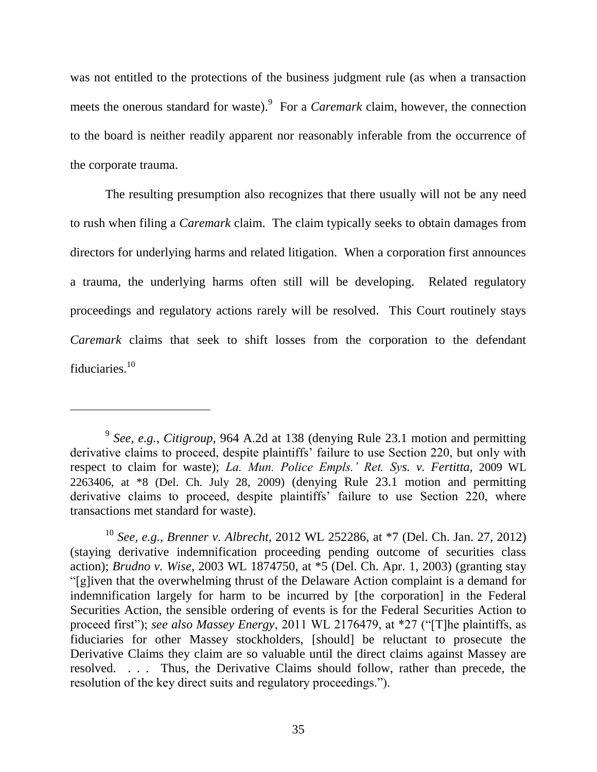was not entitled to the protections of the business judgment rule (as when a transaction meets the onerous standard for waste).<sup>9</sup> For a *Caremark* claim, however, the connection to the board is neither readily apparent nor reasonably inferable from the occurrence of the corporate trauma.

The resulting presumption also recognizes that there usually will not be any need to rush when filing a *Caremark* claim. The claim typically seeks to obtain damages from directors for underlying harms and related litigation. When a corporation first announces a trauma, the underlying harms often still will be developing. Related regulatory proceedings and regulatory actions rarely will be resolved. This Court routinely stays Caremark claims that seek to shift losses from the corporation to the defendant fiduciaries. $10$ 

<sup>&</sup>lt;sup>9</sup> See, e.g., Citigroup, 964 A.2d at 138 (denying Rule 23.1 motion and permitting derivative claims to proceed, despite plaintiffs' failure to use Section 220, but only with respect to claim for waste); La. Mun. Police Empls.' Ret. Sys. v. Fertitta, 2009 WL 2263406, at \*8 (Del. Ch. July 28, 2009) (denying Rule 23.1 motion and permitting derivative claims to proceed, despite plaintiffs' failure to use Section 220, where transactions met standard for waste).

<sup>&</sup>lt;sup>10</sup> See, e.g., Brenner v. Albrecht, 2012 WL 252286, at \*7 (Del. Ch. Jan. 27, 2012) (staying derivative indemnification proceeding pending outcome of securities class action); *Brudno v. Wise*, 2003 WL 1874750, at \*5 (Del. Ch. Apr. 1, 2003) (granting stay "[g] iven that the overwhelming thrust of the Delaware Action complaint is a demand for indemnification largely for harm to be incurred by [the corporation] in the Federal Securities Action, the sensible ordering of events is for the Federal Securities Action to proceed first"); see also Massey Energy, 2011 WL 2176479, at \*27 ("[T]he plaintiffs, as fiduciaries for other Massey stockholders, [should] be reluctant to prosecute the Derivative Claims they claim are so valuable until the direct claims against Massey are resolved... Thus, the Derivative Claims should follow, rather than precede, the resolution of the key direct suits and regulatory proceedings.").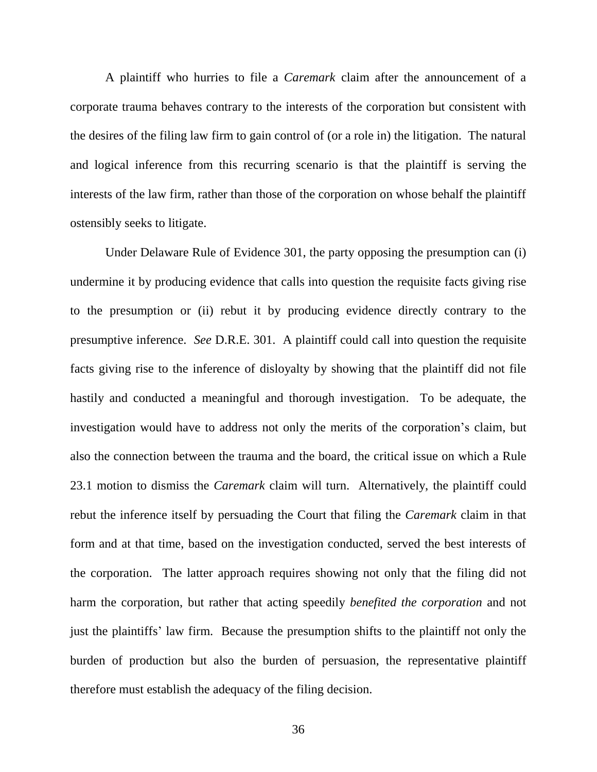A plaintiff who hurries to file a *Caremark* claim after the announcement of a corporate trauma behaves contrary to the interests of the corporation but consistent with the desires of the filing law firm to gain control of (or a role in) the litigation. The natural and logical inference from this recurring scenario is that the plaintiff is serving the interests of the law firm, rather than those of the corporation on whose behalf the plaintiff ostensibly seeks to litigate.

Under Delaware Rule of Evidence 301, the party opposing the presumption can (i) undermine it by producing evidence that calls into question the requisite facts giving rise to the presumption or (ii) rebut it by producing evidence directly contrary to the presumptive inference. See D.R.E. 301. A plaintiff could call into question the requisite facts giving rise to the inference of disloyalty by showing that the plaintiff did not file hastily and conducted a meaningful and thorough investigation. To be adequate, the investigation would have to address not only the merits of the corporation's claim, but also the connection between the trauma and the board, the critical issue on which a Rule 23.1 motion to dismiss the *Caremark* claim will turn. Alternatively, the plaintiff could rebut the inference itself by persuading the Court that filing the *Caremark* claim in that form and at that time, based on the investigation conducted, served the best interests of the corporation. The latter approach requires showing not only that the filing did not harm the corporation, but rather that acting speedily *benefited the corporation* and not just the plaintiffs' law firm. Because the presumption shifts to the plaintiff not only the burden of production but also the burden of persuasion, the representative plaintiff therefore must establish the adequacy of the filing decision.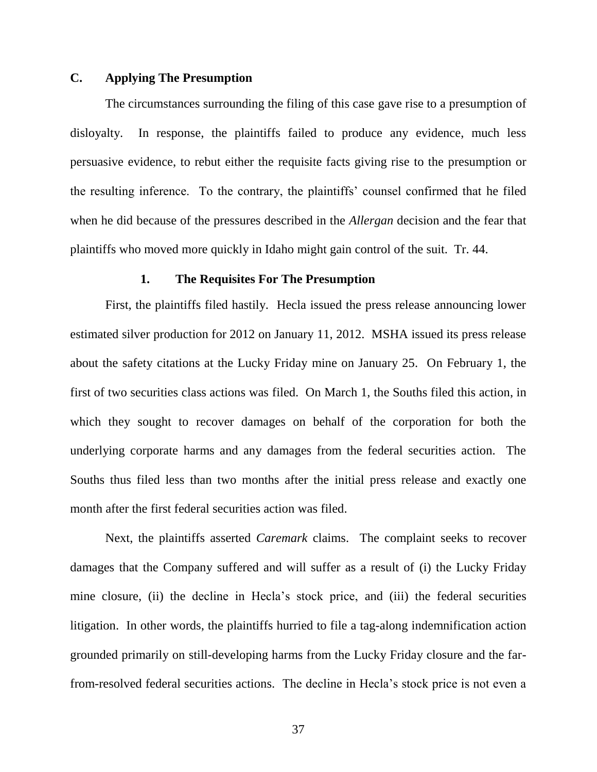## $\mathbf{C}$ . **Applying The Presumption**

The circumstances surrounding the filing of this case gave rise to a presumption of In response, the plaintiffs failed to produce any evidence, much less disloyalty. persuasive evidence, to rebut either the requisite facts giving rise to the presumption or the resulting inference. To the contrary, the plaintiffs' counsel confirmed that he filed when he did because of the pressures described in the *Allergan* decision and the fear that plaintiffs who moved more quickly in Idaho might gain control of the suit. Tr. 44.

#### $1<sub>1</sub>$ **The Requisites For The Presumption**

First, the plaintiffs filed hastily. Hecla issued the press release announcing lower estimated silver production for 2012 on January 11, 2012. MSHA issued its press release about the safety citations at the Lucky Friday mine on January 25. On February 1, the first of two securities class actions was filed. On March 1, the Souths filed this action, in which they sought to recover damages on behalf of the corporation for both the underlying corporate harms and any damages from the federal securities action. The Souths thus filed less than two months after the initial press release and exactly one month after the first federal securities action was filed.

Next, the plaintiffs asserted *Caremark* claims. The complaint seeks to recover damages that the Company suffered and will suffer as a result of (i) the Lucky Friday mine closure, (ii) the decline in Hecla's stock price, and (iii) the federal securities litigation. In other words, the plaintiffs hurried to file a tag-along indemnification action grounded primarily on still-developing harms from the Lucky Friday closure and the farfrom-resolved federal securities actions. The decline in Hecla's stock price is not even a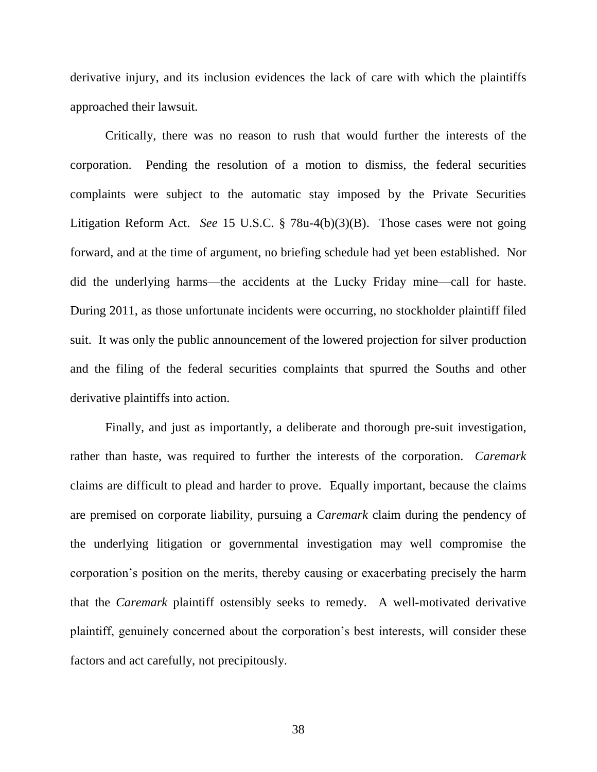derivative injury, and its inclusion evidences the lack of care with which the plaintiffs approached their lawsuit.

Critically, there was no reason to rush that would further the interests of the corporation. Pending the resolution of a motion to dismiss, the federal securities complaints were subject to the automatic stay imposed by the Private Securities Litigation Reform Act. See 15 U.S.C. § 78u-4(b)(3)(B). Those cases were not going forward, and at the time of argument, no briefing schedule had yet been established. Nor did the underlying harms—the accidents at the Lucky Friday mine—call for haste. During 2011, as those unfortunate incidents were occurring, no stockholder plaintiff filed suit. It was only the public announcement of the lowered projection for silver production and the filing of the federal securities complaints that spurred the Souths and other derivative plaintiffs into action.

Finally, and just as importantly, a deliberate and thorough pre-suit investigation, rather than haste, was required to further the interests of the corporation. *Caremark* claims are difficult to plead and harder to prove. Equally important, because the claims are premised on corporate liability, pursuing a *Caremark* claim during the pendency of the underlying litigation or governmental investigation may well compromise the corporation's position on the merits, thereby causing or exacerbating precisely the harm that the *Caremark* plaintiff ostensibly seeks to remedy. A well-motivated derivative plaintiff, genuinely concerned about the corporation's best interests, will consider these factors and act carefully, not precipitously.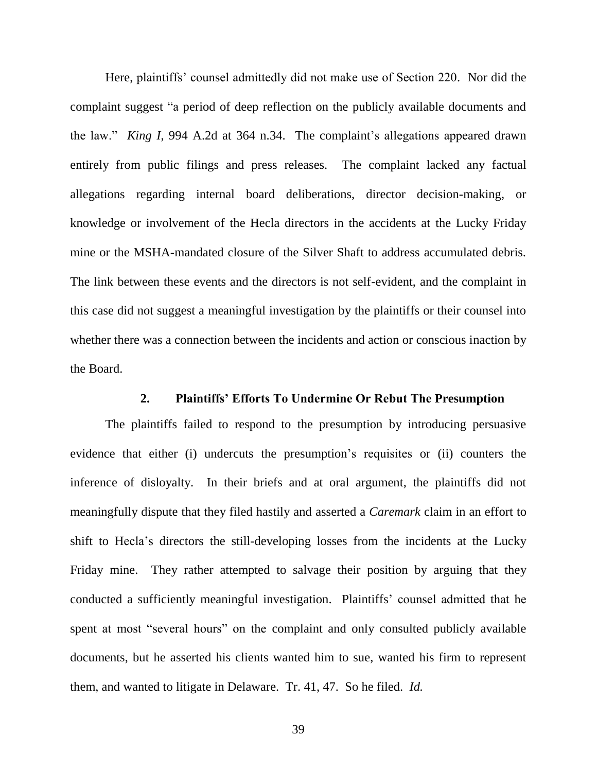Here, plaintiffs' counsel admittedly did not make use of Section 220. Nor did the complaint suggest "a period of deep reflection on the publicly available documents and the law." King I, 994 A.2d at 364 n.34. The complaint's allegations appeared drawn entirely from public filings and press releases. The complaint lacked any factual allegations regarding internal board deliberations, director decision-making, or knowledge or involvement of the Hecla directors in the accidents at the Lucky Friday mine or the MSHA-mandated closure of the Silver Shaft to address accumulated debris. The link between these events and the directors is not self-evident, and the complaint in this case did not suggest a meaningful investigation by the plaintiffs or their counsel into whether there was a connection between the incidents and action or conscious inaction by the Board

## $2.$ **Plaintiffs' Efforts To Undermine Or Rebut The Presumption**

The plaintiffs failed to respond to the presumption by introducing persuasive evidence that either (i) undercuts the presumption's requisites or (ii) counters the inference of disloyalty. In their briefs and at oral argument, the plaintiffs did not meaningfully dispute that they filed hastily and asserted a *Caremark* claim in an effort to shift to Hecla's directors the still-developing losses from the incidents at the Lucky Friday mine. They rather attempted to salvage their position by arguing that they conducted a sufficiently meaningful investigation. Plaintiffs' counsel admitted that he spent at most "several hours" on the complaint and only consulted publicly available documents, but he asserted his clients wanted him to sue, wanted his firm to represent them, and wanted to litigate in Delaware. Tr. 41, 47. So he filed. *Id.*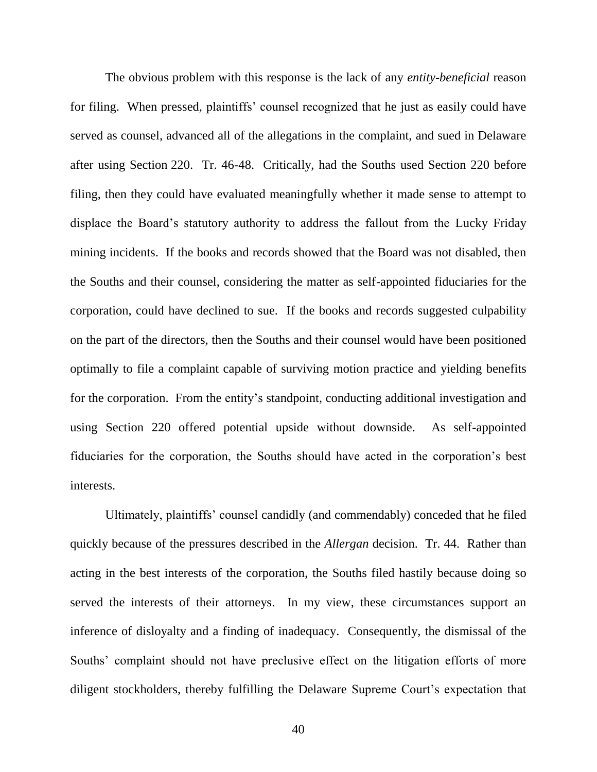The obvious problem with this response is the lack of any entity-beneficial reason for filing. When pressed, plaintiffs' counsel recognized that he just as easily could have served as counsel, advanced all of the allegations in the complaint, and sued in Delaware after using Section 220. Tr. 46-48. Critically, had the Souths used Section 220 before filing, then they could have evaluated meaningfully whether it made sense to attempt to displace the Board's statutory authority to address the fallout from the Lucky Friday mining incidents. If the books and records showed that the Board was not disabled, then the Souths and their counsel, considering the matter as self-appointed fiduciaries for the corporation, could have declined to sue. If the books and records suggested culpability on the part of the directors, then the Souths and their counsel would have been positioned optimally to file a complaint capable of surviving motion practice and yielding benefits for the corporation. From the entity's standpoint, conducting additional investigation and using Section 220 offered potential upside without downside. As self-appointed fiduciaries for the corporation, the Souths should have acted in the corporation's best interests.

Ultimately, plaintiffs' counsel candidly (and commendably) conceded that he filed quickly because of the pressures described in the *Allergan* decision. Tr. 44. Rather than acting in the best interests of the corporation, the Souths filed hastily because doing so served the interests of their attorneys. In my view, these circumstances support an inference of disloyalty and a finding of inadequacy. Consequently, the dismissal of the Souths' complaint should not have preclusive effect on the litigation efforts of more diligent stockholders, thereby fulfilling the Delaware Supreme Court's expectation that